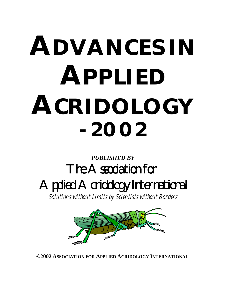# **ADVANCES IN APPLIED ACRIDOLOGY - 2002**

# *PUBLISHED BY* The Association for Applied Acridology International

Solutions without Limits by Scientists without Borders



**©2002 ASSOCIATION FOR APPLIED ACRIDOLOGY INTERNATIONAL**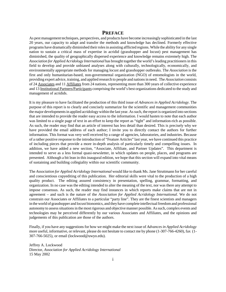## **PREFACE**

As pest management techniques, perspectives, and products have become increasingly sophisticated in the last 20 years, our capacity to adapt and transfer the methods and knowledge has declined. Formerly effective programs have dramatically diminished their roles in assisting afflicted regions. While the ability for any single nation to sustain a critical mass of expertise in acridid (grasshopper and locust) pest management has diminished, the quality of geographically dispersed experience and knowledge remains extremely high. The *Association for Applied Acridology International* has brought together the world's leading practitioners in this field to develop and provide unbiased analyses along with culturally, technologically, economically, and environmentally appropriate methods for managing locust and grasshopper outbreaks. The *Association* is the first and only humanitarian-based, non-governmental organization (NGO) of entomologists in the world, providing expert advice, training, and applied research to people and nations in need. The *Association* consists of 24 Associates and 11 Affiliates from 24 nations, representing more than 300 years of collective experience and 13 Institutional Partners/Participants comprising the world's best organizations dedicated to the study and management of acridids.

It is my pleasure to have facilitated the production of this third issue of *Advances in Applied Acridology*. The purpose of this report is to clearly and concisely summarize for the scientific and management communities the major developments in applied acridology within the last year. As such, the report is organized into sections that are intended to provide the reader easy access to the information. I would hasten to note that each author was limited to a single page of text in an effort to keep the report as "tight" and information-rich as possible. As such, the reader may find that an article of interest has less detail than desired. This is precisely why we have provided the email address of each author; I invite you to directly contact the authors for further information. This format was very well received by a range of agencies, laboratories, and industries. Because of a rather positive response to the introduction of "Feature Articles" last year, we have continued this practice of including pieces that provide a more in-depth analysis of particularly timely and compelling issues. In addition, we have added a new section, "Associate, Affiliate, and Partner Updates". This department is intended to serve as a less formal quasi-newsletter, in which updates on people, places, and programs are presented. Although a bit lean in this inaugural edition, we hope that this section will expand into vital means of sustaining and building collegiality within our scientific community.

The *Association for Applied Acridology International* would like to thank Ms. Jane Struttmann for her careful and conscientious copyediting of this publication. Her editorial skills were vital to the production of a high quality product. The editing assured consistency in presentation, spelling, grammar, formatting, and organization. In no case was the editing intended to alter the meaning of the text, nor was there any attempt to impose consensus. As such, the reader may find instances in which reports make claims that are not in agreement – and such is the nature of the *Association for Applied Acridology International*. We do not constrain our Associates or Affiliates to a particular "party line". They are the finest scientists and managers in the world of grasshopper and locust bionomics, and they have complete intellectual freedom and professional autonomy to assess situations in the most rigorous and objective manner possible. As such, complex events and technologies may be perceived differently by our various Associates and Affiliates, and the opinions and judgements of this publication are those of the authors.

Finally, if you have any suggestions for how we might make the next issue of *Advances in Applied Acridology* more useful, informative, or relevant, please do not hesitate to contact me by phone (1-307-766-4260), fax (1- 307-766-5025), or email (lockwood@uwyo.edu).

Jeffrey A. Lockwood Director, *Association for Applied Acridology International* 15 May 2002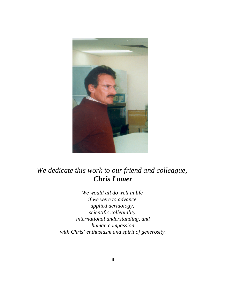

# *We dedicate this work to our friend and colleague, Chris Lomer*

*We would all do well in life if we were to advance applied acridology, scientific collegiality, international understanding, and human compassion with Chris' enthusiasm and spirit of generosity.*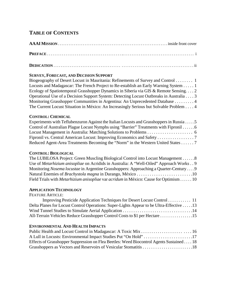# **TABLE OF CONTENTS**

# **DEDICATION** . . . . . . . . . . . . . . . . . . . . . . . . . . . . . . . . . . . . . . . . . . . . . . . . . . . . . . . . . . . . . . . . . . . . . . . . . . . . ii

# **SURVEY, FORECAST, AND DECISION SUPPORT**

Biogeography of Desert Locust in Mauritania: Refinements of Survey and Control . . . . . . . . 1 Locusts and Madagascar: The French Project to Re-establish an Early Warning System . . . . . 1 Ecology of Spatiotemporal Grasshopper Dynamics in Siberia via GIS & Remote Sensing. . . . 2 Operational Use of a Decision Support System: Detecting Locust Outbreaks in Australia . . . . 3 Monitoring Grasshopper Communities in Argentina: An Unprecedented Database . . . . . . . . . 4 The Current Locust Situation in México: An Increasingly Serious but Solvable Problem . . . . 4

# **CONTROL: CHEMICAL**

| Experiments with Teflubenzuron Against the Italian Locusts and Grasshoppers in Russia5 |
|----------------------------------------------------------------------------------------|
| Control of Australian Plague Locust Nymphs using "Barrier" Treatments with Fipronil 6  |
|                                                                                        |
| Fipronil vs. Central American Locust: Improving Economics and Safety 7                 |
| Reduced Agent-Area Treatments Becoming the "Norm" in the Western United States 7       |

# **CONTROL: BIOLOGICAL**

| The LUBILOSA Project: Green Muscling Biological Control into Locust Management 8                    |
|-----------------------------------------------------------------------------------------------------|
| Use of <i>Metarhizium anisopliae</i> on Acridids in Australia: A "Well-Oiled" Approach Works 9      |
| Monitoring Nosema locustae in Argentine Grasshoppers: Approaching a Quarter-Century 9               |
|                                                                                                     |
| Field Trials with <i>Metarhizium anisopliae</i> var <i>acridum</i> in México: Cause for Optimism 10 |

# **APPLICATION TECHNOLOGY**

FEATURE ARTICLE:

| Delta Planes for Locust Control Operations: Super-Lights Appear to be Ultra-Effective 13 |  |
|------------------------------------------------------------------------------------------|--|
|                                                                                          |  |
| All-Terrain Vehicles Reduce Grasshopper Control Costs to \$1 per Hectare 15              |  |

# **ENVIRONMENTAL AND HEALTH IMPACTS**

| Effects of Grasshopper Suppression on Flea Beetles: Weed Biocontrol Agents Sustained 18 |  |
|-----------------------------------------------------------------------------------------|--|
|                                                                                         |  |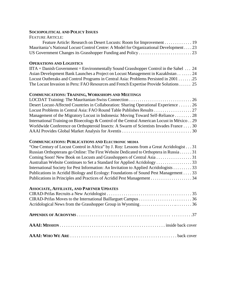# **SOCIOPOLITICAL AND POLICY ISSUES**

| <b>FEATURE ARTICLE:</b>                                                                |  |
|----------------------------------------------------------------------------------------|--|
| Feature Article: Research on Desert Locusts: Room for Improvement 19                   |  |
| Mauritania's National Locust Control Centre: A Model for Organizational Development 23 |  |
|                                                                                        |  |

# **OPERATIONS AND LOGISTICS**

| $\text{IITA} + \text{ Danish Government} = \text{Environmentally Sound Grasshopper Control in the Sahel} \dots 24$ |  |
|--------------------------------------------------------------------------------------------------------------------|--|
| Asian Development Bank Launches a Project on Locust Management in Kazakhstan 24                                    |  |
| Locust Outbreaks and Control Programs in Central Asia: Problems Persisted in 2001 25                               |  |
| The Locust Invasion in Peru: FAO Resources and French Expertise Provide Solutions 25                               |  |

# **COMMUNICATIONS: TRAINING, WORKSHOPS AND MEETINGS**

| Desert Locust-Affected Countries in Collaboration: Sharing Operational Experience 26      |  |
|-------------------------------------------------------------------------------------------|--|
|                                                                                           |  |
| Management of the Migratory Locust in Indonesia: Moving Toward Self-Reliance 28           |  |
| International Training on Bioecology & Control of the Central American Locust in México29 |  |
| Worldwide Conference on Orthopteroid Insects: A Swarm of Scientists Invades France 30     |  |
|                                                                                           |  |

## **COMMUNICATIONS: PUBLICATIONS AND ELECTRONIC MEDIA**

| "One Century of Locust Control in Africa" by J. Roy: Lessons from a Great Acridologist 31 |  |
|-------------------------------------------------------------------------------------------|--|
| Russian Orthopterans go Online: The First Website Dedicated to Orthoptera in Russia 31    |  |
|                                                                                           |  |
|                                                                                           |  |
| International Society for Pest Information: An Invitation to Applied Acridologists 33     |  |
| Publications in Acridid Biology and Ecology: Foundations of Sound Pest Management 33      |  |
|                                                                                           |  |

# **ASSOCIATE, AFFILIATE, AND PARTNER UPDATES**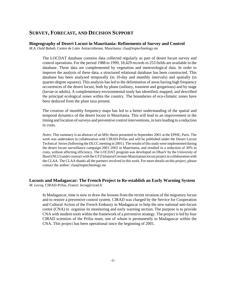# **SURVEY, FORECAST, AND DECISION SUPPORT**

#### **Biogeography of Desert Locust in Mauritania: Refinements of Survey and Control**

*M.A. Ould Babah*, Centre de Lutte Antiacridienne, Mauritania: claa@toptechnology.mr

The LOCDAT database contains data collected regularly as part of desert locust survey and control operations. For the period 1988 to 1999, 18,429 records in 253 fields are available in the database. These data are complemented by vegetation and meteorological data. In order to improve the analysis of these data, a structured relational database has been constructed. This database has been analyzed temporally (in 10-day and monthly intervals) and spatially (in quarter-degree squares). This analysis has led to the delimitation of areas having high frequency occurrences of the desert locust, both by phase (solitary, transient and gregarious) and by stage (larvae or adults). A complementary environmental study has identified, mapped, and described the principal ecological zones within the country. The boundaries of eco-climatic zones have been deduced from the plant taxa present.

The creation of monthly frequency maps has led to a better understanding of the spatial and temporal dynamics of the desert locust in Mauritania. This will lead to an improvement in the timing and location of surveys and preventive control interventions, in turn leading to a reduction in costs.

*Notes*: This summary is an abstract of an MSc thesis presented in September 2001 at the EPHE, Paris. The work was undertaken in collaboration with CIRAD-Prifas and will be published under the Desert Locust Technical Series (following the DLCC meeting in 2001). The results of this study were implemented during the desert locust surveillance campaign 2001-2002 in Mauritania, and resulted in a reduction of 30% in costs, without affecting efficiency. The LOCDAT program was developed on DbasV by the University of Basel (NLU) under contract with the GTZ bilateral German-Mauritanian locust project in collaboration with the CLAA. The CLAA thanks all the partners involved in this work. For more details on this project, please contact the author: claa@toptechnology.mr

# **Locusts and Madagascar: The French Project to Re-establish an Early Warning System**

*M. Lecoq*, CIRAD-Prifas, France: lecoq@cirad.fr

In Madagascar, time is now to draw the lessons from the recent invasion of the migratory locust and to restore a preventive control system. CIRAD was charged by the Service for Cooperation and Cultural Action of the French Embassy in Madagascar to help the new national anti-locust centre (CNA) to organize its monitoring and early warning section. The purpose is to provide CNA with modern tools within the framework of a preventive strategy. The project is led by four CIRAD scientists of the Prifas team, one of whom is permanently in Madagascar within the CNA. This project has been operational since the beginning of 2001.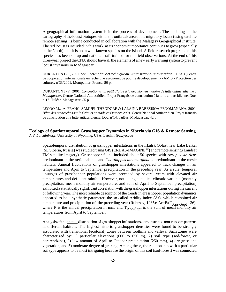A geographical information system is in the process of development. The updating of the cartography of the locust biotopes within the outbreak area of the migratory locust (using satellite remote sensing) is being conducted in collaboration with the Malagasy Geographical Institute. The red locust is included in this work, as its economic importance continues to grow (especially in the North), but it is not a well-known species on the island. A field research program on this species has been set up and national staff trained for the field observations. At the end of this three-year project the CNA should have all the elements of a new early warning system to prevent locust invasions in Madagascar.

DURANTON J.-F., 2001. *Appui scientifique et technique au Centre national anti-acridien.* CIRAD (Centre de coopération internationale en recherche agronomique pour le développement) - AMIS - Protection des cultures, n°33/2001, Montpellier, France. 50 p.

DURANTON J.-F., 2001. *Conception d'un outil d'aide à la décision en matière de lutte antiacridienne à Madagascar*. Centre National Antiacridien. Projet Français de contribution à la lutte antiacridienne. Doc. n°17. Tuléar, Madagascar. 55 p.

LECOQ M., A. FRANC, SAMUEL THEODORE & LALAINA RABESISOA FENOMANANA, 2001*. Bilan des recherches sur le Criquet nomade en Octobre 2001.* Centre National Antiacridien. Projet français de contribution à la lutte antiacridienne. Doc. n°14. Tuléar, Madagascar. 42 p.

#### **Ecology of Spatiotemporal Grasshopper Dynamics in Siberia via GIS & Remote Sensing** *A.V. Latchininsky*, University of Wyoming, USA: Latchini@uwyo.edu

Spatiotemporal distribution of grasshopper infestations in the Irkutsk Oblast near Lake Baikal (SE Siberia, Russia) was studied using GIS (ERDAS-IMAGINE®) and remote sensing (Landsat TM satellite imagery). Grasshopper fauna included about 50 species with *Aeropus sibiricus* predominant in the xeric habitats and *Chorthippus albomarginatus* predominant in the mesic habitats. Annual fluctuations of grasshopper infestations appeared to track changes in air temperature and April to September precipitation in the preceding year. As a rule, temporal upsurges of grasshopper populations were preceded by several years with elevated air temperatures and deficient rainfall. However, not a single studied climatic variable (monthly precipitation, mean monthly air temperature, and sum of April to September precipitation) exhibited a statistically significant correlation with the grasshopper infestations during the current or following year. The most reliable descriptor of the trends in grasshopper population dynamics appeared to be a synthetic parameter, the so-called Aridity index (Ar), which combined air temperature and precipitation of the preceding year (Rubtzov, 1935):  $Ar = P/(T_{\text{Apr-Sept}} - 36)$ , where P is the annual precipitation in mm, and  $T_{Apr-Sept}$  is the sum of mean monthly air temperatures from April to September.

Analysis of the spatial distribution of grasshopper infestations demonstrated non-random patterns in different habitats. The highest historic grasshopper densities were found to be strongly associated with transitional (ecotonal) zones between foothills and valleys. Such zones were characterized by: 1) particular elevations (600 to 650 m), 2) soil type (sod-forest, or pararendzina), 3) low amount of April to October precipitation (250 mm), 4) dry-grassland vegetation, and 5) moderate degree of grazing. Among these, the relationship with a particular soil type appears to be most intriguing because the origin of this soil (sod-forest) was connected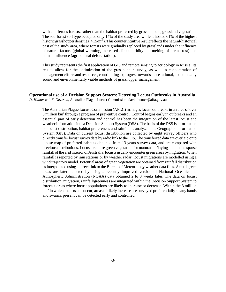with coniferous forests, rather than the habitat preferred by grasshoppers, grassland vegetation. The sod-forest soil type occupied only 14% of the study area while it hosted 61% of the highest historic grasshopper densities ( $>15/m^2$ ). This counterintuitive result reflects the natural-historical past of the study area, where forests were gradually replaced by grasslands under the influence of natural factors (global warming, increased climate aridity and melting of permafrost) and human influence (agricultural deforestation).

This study represents the first application of GIS and remote sensing to acridology in Russia. Its results allow for the optimization of the grasshopper survey, as well as concentration of management efforts and resources, contributing to progress towards more rational, economically sound and environmentally viable methods of grasshopper management.

#### **Operational use of a Decision Support System: Detecting Locust Outbreaks in Australia**

*D. Hunter* and *E. Deveson,* Australian Plague Locust Commission: david.hunter@affa.gov.au

The Australian Plague Locust Commission (APLC) manages locust outbreaks in an area of over 3 million km<sup>2</sup> through a program of preventive control. Control begins early in outbreaks and an essential part of early detection and control has been the integration of the latest locust and weather information into a Decision Support System (DSS). The basis of the DSS is information on locust distribution, habitat preferences and rainfall as analyzed in a Geographic Information System (GIS). Data on current locust distribution are collected by eight survey officers who directly transfer locust survey data by radio link to the GIS. The transferred data are overlaid onto a base map of preferred habitats obtained from 13 years survey data, and are compared with previous distributions. Locusts require green vegetation for maturation/laying and, in the sparse rainfall of the arid interior of Australia, locusts usually encounter green areas by migration. When rainfall is reported by rain stations or by weather radar, locust migrations are modelled using a wind trajectory model. Potential areas of green vegetation are obtained from rainfall distribution as interpolated using a direct link to the Bureau of Meteorology weather data files. Actual green areas are later detected by using a recently improved version of National Oceanic and Atmospheric Administration (NOAA) data obtained 2 to 3 weeks later. The data on locust distribution, migration, rainfall/greenness are integrated within the Decision Support System to forecast areas where locust populations are likely to increase or decrease. Within the 3 million km<sup>2</sup> in which locusts can occur, areas of likely increase are surveyed preferentially so any bands and swarms present can be detected early and controlled.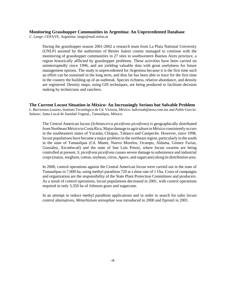#### **Monitoring Grasshopper Communities in Argentina: An Unprecedented Database**

*C. Lange*, CEPAVE, Argentina: lange@mail.retina.ar

During the grasshopper season 2001-2002 a research team from La Plata National University (UNLP) assisted by the authorities of Benito Juárez county managed to continue with the monitoring of grasshopper communities in 27 sites in southwestern Buenos Aires province, a region historically afflicted by grasshopper problems. These activities have been carried on uninterruptedly since 1996, and are yielding valuable data with great usefulness for future management options. The study is unprecedented for Argentina because it is the first time such an effort can be sustained in the long term, and thus far has been able to trace for the first time in the country the building up of an outbreak. Species richness, relative abundance, and density are registered. Density maps, using GIS techniques, are being produced to facilitate decision making by technicians and ranchers.

**The Current Locust Situation in México: An Increasingly Serious but Solvable Problem** *L. Barrientos-Lozano,* Instituto Tecnológico de Cd. Victoria, México: ludivinab@terra.com.mx and *Pablo García-Salazar*, Junta Local de Sanidad Vegetal., Tamaulipas, México.

The Central American locust (*Schistocerca piceifrons piceifrons*) is geographically distributed from Northeast México to Costa Rica. Major damage to agriculture in México consistently occurs in the southeastern states of Yucatán, Chiapas, Tabasco and Campeche. However, since 1998, locust populations have become a major problem in the northeast region, particularly in the south in the state of Tamaulipas (Cd. Mante, Nuevo Morelos, Ocampo, Aldama, Gómez Farías, González, Xicoténcatl) and the state of San Luis Potosí, where locust swarms are being controlled at present*. S. piceifrons piceifrons* causes severe damage to subsistence and industrial crops (maize, sorghum, cotton, soybean, citrus, *Agave*, and sugarcane) along its distribution area.

In 2000, control operations against the Central American locust were carried out in the state of Tamaulipas in 7,000 ha, using methyl parathion 720 at a dose rate of 1 l/ha. Costs of campaigns and organization are the responsibility of the State Plant Protection Committees and producers. As a result of control operations, locust populations decreased in 2001, with control operations required in only 3,350 ha of Johnson grass and sugarcane.

In an attempt to reduce methyl parathion applications and in order to search for safer locust control alternatives, *Metarhizium anisopliae* was introduced in 2000 and fipronil in 2001.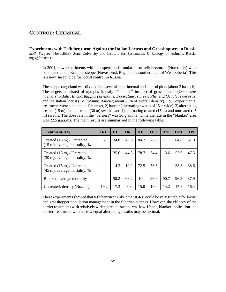# **CONTROL: CHEMICAL**

**Experiments with Teflubenzuron Against the Italian Locusts and Grasshoppers in Russia** *M.G. Sergeev*, Novosibirsk State University and Institute for Systematics & Ecology of Animals, Russia: mgs@fen.nsu.ru

In 2001, new experiments with a suspension formulation of teflubenzuron (Nomolt ®) were conducted in the Kulunda steppe (Novosibirsk Region, the southern part of West Siberia). This is a new insecticide for locust control in Russia.

The steppe rangeland was divided into several experimental and control plots (about 3 ha each). The targets consisted of nymphs (mostly 1<sup>st</sup> and 2<sup>nd</sup> instars) of grasshoppers (*Omocestus haemorrhoidalis*, *Euchorthippus pulvinatus*, *Dociostaurus brevicollis*, and *Oedaleus decorus*) and the Italian locust (*Calliptamus italicus*; about 25% of overall density). Four experimental treatments were conducted: 1) blanket, 2) barrier (alternating swaths of 15 m wide), 3) alternating treated (15 m) and untreated (30 m) swaths, and 4) alternating treated (15 m) and untreated (45 m) swaths. The dose rate in the "barriers" was 30 g.a.i./ha, while the rate in the "blanket" area was 22.5 g.a.i./ha. The main results are summarized in the following table.

| <b>Treatment/Day</b>                                                            | $D-1$ | D <sub>1</sub> | D <sub>6</sub> | <b>D10</b> | <b>D17</b> | <b>D20</b> | D <sub>29</sub> | D39  |
|---------------------------------------------------------------------------------|-------|----------------|----------------|------------|------------|------------|-----------------|------|
| Treated $(15 \text{ m})$ / Untreated<br>$(15 \text{ m})$ ; average mortality, % |       | 34.8           | 49.8           | 84.7       | 72.0       | 71.1       | 64.8            | 61.9 |
| Treated $(15 \text{ m})$ / Untreated<br>$(30 \text{ m})$ ; average mortality, % |       | 35.6           | 44.8           | 78.7       | 64.4       | 13.6       | 53.0            | 47.5 |
| Treated $(15 \text{ m})$ / Untreated<br>$(45 \text{ m})$ ; average mortality, % |       | 14.3           | 19.2           | 72.5       | 56.5       |            | 38.3            | 38.6 |
| Blanket; average mortality                                                      |       | 50.2           | 68.2           | 100        | 96.9       | 90.7       | 96.3            | 87.9 |
| Untreated; density $(No/m^2)$                                                   | 19.2  | 17.3           | 8.3            | 15.0       | 16.0       | 14.2       | 17.8            | 16.4 |

These experiments showed that teflubenzuron (like other IGRs) could be very suitable for locust and grasshopper population management in the Siberian steppes. However, the efficacy of the barrier treatments with relatively wide untreated swaths was low. Hence, blanket application and barrier treatments with narrow equal alternating swaths may be optimal.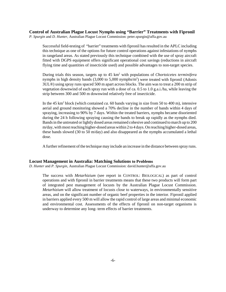**Control of Australian Plague Locust Nymphs using "Barrier" Treatments with Fipronil** 

*P. Spurgin* and *D. Hunter*, Australian Plague Locust Commission: peter.spurgin@affa.gov.au

Successful field-testing of "barrier" treatments with fipronil has resulted in the APLC including this technique as one of the options for future control operations against infestations of nymphs in rangeland areas. As stated previously this technique combined with the use of spray aircraft fitted with DGPS equipment offers significant operational cost savings (reductions in aircraft flying time and quantities of insecticide used) and possible advantages to non-target species.

During trials this season, targets up to 45 km2 with populations of *Chortoicetes terminifera* nymphs in high density bands (3,000 to 5,000 nymphs/m<sup>2</sup>) were treated with fipronil (Adonis 3UL®) using spray runs spaced 500 m apart across blocks. The aim was to treat a 200 m strip of vegetation downwind of each spray run with a dose of ca. 0.5 to 1.0 g.a.i./ha, while leaving the strip between 300 and 500 m downwind relatively free of insecticide.

In the  $45 \text{ km}^2$  block (which contained *ca*. 60 bands varying in size from 50 to 400 m), intensive aerial and ground monitoring showed a 70% decline in the number of bands within 4 days of spraying, increasing to 90% by 7 days. Within the treated barriers, nymphs became disoriented during the 24 h following spraying causing the bands to break up rapidly as the nymphs died. Bands in the untreated or lightly dosed areas remained cohesive and continued to march up to 200 m/day, with most reaching higher-dosed areas within 2 to 4 days. On reaching higher-dosed areas, these bands slowed (30 to 50 m/day) and also disappeared as the nymphs accumulated a lethal dose.

A further refinement of the technique may include an increase in the distance between spray runs.

#### **Locust Management in Australia: Matching Solutions to Problems**

*D. Hunter* and *P. Spurgin,* Australian Plague Locust Commission: david.hunter@affa.gov.au

The success with *Metarhizium* (see report in CONTROL: BIOLOGICAL) as part of control operations and with fipronil in barrier treatments means that these two products will form part of integrated pest management of locusts by the Australian Plague Locust Commission. *Metarhizium* will allow treatment of locusts close to waterways, in environmentally sensitive areas, and on the significant number of organic beef properties in the interior. Fipronil applied in barriers applied every 500 m will allow the rapid control of large areas and minimal economic and environmental cost. Assessments of the effects of fipronil on non-target organisms is underway to determine any long- term effects of barrier treatments.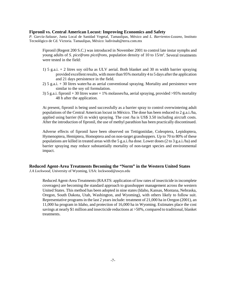#### **Fipronil vs. Central American Locust: Improving Economics and Safety**

*P. García-Salazar*, Junta Local de Sanidad Vegetal, Tamaulipas, México and *L. Barrientos-Lozano*, Instituto Tecnológico de Cd. Victoria. Tamaulipas, México: ludivinab@terra.com.mx

Fipronil (Regent 200 S.C.) was introduced in November 2001 to control late instar nymphs and young adults of *S. piceifrons piceifrons,* population density of 10 to 15/m2 . Several treatments were tested in the field:

- 1) 5 g.a.i. + 2 litres soy oil/ha as ULV aerial. Both blanket and 30 m width barrier spraying provided excellent results, with more than 95% mortality 4 to 5 days after the application and 21 days persistence in the field.
- 2) 5 g.a.i. + 30 litres water/ha as aerial conventional spraying. Mortality and persistence were similar to the soy oil formulation.
- 3) 5 g.a.i. fipronil + 30 litres water + 1% molasses/ha, aerial spraying, provided >95% mortality 48 h after the application.

At present, fipronil is being used successfully as a barrier spray to control overwintering adult populations of the Central American locust in México. The dose has been reduced to 2 g.a.i./ha, applied using barrier (65 m wide) spraying. The cost /ha is US\$ 3.50 including aircraft costs. After the introduction of fipronil, the use of methyl parathion has been practically discontinued.

Adverse effects of fipronil have been observed on Tettigoniidae, Coleoptera, Lepidoptera, Hymenoptera, Hemiptera, Homoptera and on non-target grasshoppers. Up to 70 to 80% of these populations are killed in treated areas with the 5 g.a.i./ha dose. Lower doses (2 to 3 g.a.i./ha) and barrier spraying may reduce substantially mortality of non-target species and environmental impact.

#### **Reduced Agent-Area Treatments Becoming the "Norm" in the Western United States** *J.A Lockwood*, University of Wyoming, USA: lockwood@uwyo.edu

Reduced Agent-Area Treatments (RAATS: application of low rates of insecticide in incomplete coverages) are becoming the standard approach to grasshopper management across the western United States. This method has been adopted in nine states (Idaho, Kansas, Montana, Nebraska, Oregon, South Dakota, Utah, Washington, and Wyoming), with others likely to follow suit. Representative programs in the last 2 years include: treatment of 21,000 ha in Oregon (2001), an 11,000 ha program in Idaho, and protection of 16,000 ha in Wyoming. Estimates place the cost savings at nearly \$1 million and insecticide reductions at >50%, compared to traditional, blanket treatments.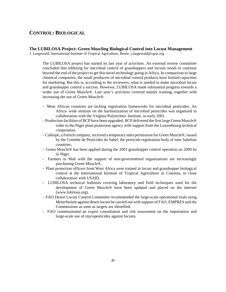# **CONTROL: BIOLOGICAL**

#### **The LUBILOSA Project: Green Muscling Biological Control into Locust Management**

*J. Langewald*, International Institute of Tropical Agriculture, Benin: j.langewald@cgiar.org

The LUBILOSA project has started its last year of activities. An external review committee concluded that lobbying for microbial control of grasshoppers and locusts needs to continue beyond the end of the project to get this novel technology going in Africa. In comparison to large chemical companies, the small producers of microbial control products have limited capacities for marketing. But this is, according to the reviewers, what is needed to make microbial locust and grasshopper control a success. However, LUBILOSA made substantial progress towards a wider use of Green Muscle®. Last year's activities covered mainly training, together with increasing the use of Green Muscle®:

- Most African countries are lacking registration frameworks for microbial pesticides. An Africa- wide seminar on the harmonization of microbial pesticides was organized in collaboration with the Virginia Polytechnic Institute, in early 2001.
- Production facilities of BCP have been upgraded. BCP delivered the first large Green Muscle® order to the Niger plant protection agency with support from the Luxembourg technical cooperation.
- Calliope, a French company, received a temporary sales permission for Green Muscle®, issued by the Comitée de Pesticides du Sahel, the pesticide registration body of nine Sahelian countries.
- Green Muscle® has been applied during the 2001 grasshopper control operation on 2000 ha in Niger.
- Farmers in Mali with the support of non-governmental organizations are increasingly purchasing Green Muscle®.
- Plant protection officers from West Africa were trained in locust and grasshopper biological control at the International Institute of Tropical Agriculture in Cotonou, in close collaboration with USAID.
- LUBILOSA technical bulletins covering laboratory and field techniques used for the development of Green Muscle® have been updated and placed on the internet (www.lubilosa.org).
- FAO Desert Locust Control Committee recommended the large-scale operational trials using *Metarhizium* against desert locust be carried out with support of FAO, EMPRES and the Commissions as soon as targets are identified.
- FAO commissioned an expert consultation and risk assessment on the importation and large-scale use of mycopesticides against locusts.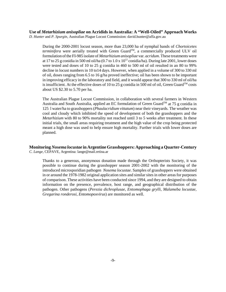**Use of** *Metarhizium anisopliae* **on Acridids in Australia: A "Well-Oiled" Approach Works** *D. Hunter* and *P. Spurgin,* Australian Plague Locust Commission: david.hunter@affa.gov.au

During the 2000-2001 locust season, more than 23,000 ha of nymphal bands of *Chortoicetes terminifera* were aerially treated with Green Guard<sup>TM</sup>, a commercially produced ULV oil formulation of the FI-985 isolate of *Metarhizium anisopliae* var. *acridum*. These treatments were at 17 to 25 g conidia in 500 ml oil/ha (0.7 to 1.0 x 1012 conidia/ha). During late 2001, lower doses were tested and doses of 10 to 25 g conidia in 460 to 500 ml of oil resulted in an 80 to 99% decline in locust numbers in 10 to14 days. However, when applied in a volume of 300 to 330 ml of oil, doses ranging from 6.5 to 16 g/ha proved ineffective; oil has been shown to be important in improving efficacy in the laboratory and field, and it would appear that 300 to 330 ml of oil/ha is insufficient. At the effective doses of 10 to 25 g conidia in 500 ml of oil, Green Guard<sup>TM</sup> costs about US \$2.30 to 5.70 per ha.

The Australian Plague Locust Commission, in collaboration with several farmers in Western Australia and South Australia, applied an EC formulation of Green Guard<sup>TM</sup> at 75 g conidia in 125 l water/ha to grasshoppers (*Phaulacridium vittatum*) near their vineyards. The weather was cool and cloudy which inhibited the speed of development of both the grasshoppers and the *Metarhizium* with 80 to 90% mortality not reached until 3 to 5 weeks after treatment. In these initial trials, the small areas requiring treatment and the high value of the crop being protected meant a high dose was used to help ensure high mortality. Further trials with lower doses are planned.

#### **Monitoring** *Nosema locustae* **in Argentine Grasshoppers: Approaching a Quarter-Century** *C. Lange*, CEPAVE, Argentina: lange@mail.retina.ar

Thanks to a generous, anonymous donation made through the Orthopterists Society, it was possible to continue during the grasshopper season 2001-2002 with the monitoring of the introduced microsporidian pathogen *Nosema locustae*. Samples of grasshoppers were obtained in or around the 1978-1982 original application sites and similar sites in other areas for purposes of comparison. These activities have been conducted since 1994, and they are designed to obtain information on the presence, prevalence, host range, and geographical distribution of the pathogen. Other pathogens (*Perezia dichroplusae, Entomophaga grylli, Malameba locustae, Gregarina ronderosi, Entomopoxvirus*) are monitored as well.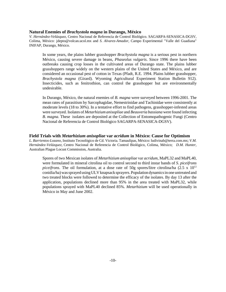#### **Natural Enemies of** *Brachystola magna* **in Durango, México**

*V. Hernández-Velázquez,* Centro Nacional de Referencia de Control Biológico. SAGARPA-SENASICA-DGSV, Colima, México: jdepto@volcan.ucol.mx and *S. Alvarez-Amador*, Campo Experimental "Valle del Guadiana" INIFAP, Durango, México.

In some years, the plains lubber grasshopper *Brachystola magna* is a serious pest in northern México, causing severe damage in beans, *Phaseolus vulgaris*. Since 1996 there have been outbreaks causing crop losses in the cultivated areas of Durango state. The plains lubber grasshoppers range widely on the western plains of the United States and México, and are considered an occasional pest of cotton in Texas (Pfadt, R.E. 1994. Plains lubber grasshopper, *Brachystola magna* (Girard). Wyoming Agricultural Experiment Station Bulletin 912). Insecticides, such as fenitrothion, can control the grasshopper but are environmentally undesirable.

In Durango, México, the natural enemies of *B. magna* were surveyed between 1996-2001. The mean rates of parasitism by Sarcophagidae, Nemestrinidae and Tachinidae were consistently at moderate levels (18 to 30%). In a tentative effort to find pathogens, grasshopper-infested areas were surveyed. Isolates of *Metarhizium anisopliae* and *Beauveria bassiana* were found infecting *B. magna*. These isolates are deposited at the Collection of Entomopathogenic Fungi (Centro Nacional de Referencia de Control Biológico SAGARPA-SENASICA-DGSV).

#### **Field Trials with** *Metarhizium anisopliae* **var** *acridum* **in México: Cause for Optimism**

*L. Barrientos-Lozano,* Instituto Tecnológico de Cd. Victoria. Tamaulipas, México: ludivinab@terra.com.mx; *V.M. Hernández-Velázquez,* Centro Nacional de Referencia de Control Biológico, Colima, México; *D.M. Hunter*, Australian Plague Locust Commission, Australia.

Spores of two Mexican isolates of *Metarhizium anisopliae* var *acridum*, MaPL32 and MaPL40, were formulated in mineral citrolina oil to control second to third instar bands of *S*. *piceifrons piceifrons*. The oil formulation, at a dose rate of 50g spores/litre citrolina/ha  $(2.5 \times 10^{12}$ conidia/ha) was sprayed using ULV knapsack sprayers. Population dynamics in one untreated and two treated blocks were followed to determine the efficacy of the isolates. By day 13 after the application, populations declined more than 95% in the area treated with MaPL32, while populations sprayed with MaPL40 declined 85%. *Metarhizium* will be used operationally in México in May and June 2002.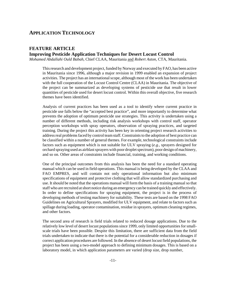# **APPLICATION TECHNOLOGY**

# **FEATURE ARTICLE Improving Pesticide Application Techniques for Desert Locust Control**

*Mohamed Abdallahi Ould Babah,* Chief CLAA, Mauritania and *Robert Aston,* CTA, Mauritania.

This research and development project, funded by Norway and executed by FAO, has been active in Mauritania since 1996, although a major revision in 1999 enabled an expansion of project activities. The project has an international scope, although most of the work has been undertaken with the full cooperation of the Locust Control Centre (CLAA) in Mauritania. The objective of the project can be summarized as developing systems of pesticide use that result in lower quantities of pesticide used for desert locust control. Within this overall objective, five research themes have been identified.

Analysis of current practices has been used as a tool to identify where current practice in pesticide use falls below the "accepted best practice", and more importantly to determine what prevents the adoption of optimum pesticide use strategies. This activity is undertaken using a number of different methods, including risk analysis workshops with control staff, operator perception workshops with spray operators, observation of spraying practices, and targeted training. During the project this activity has been key in orienting project research activities to address real problems faced by control team staff. Constraints to the adoption of best practice can be classified within a number of general themes. For example, technological constraints include factors such as equipment which is not suitable for ULV spraying (*e.g.*, sprayers designed for orchard spraying used as airblast sprayers with poor droplet spectrum), poor design of machinery, and so on. Other areas of constraints include financial, training, and working conditions.

One of the principal outcomes from this analysis has been the need for a standard operating manual which can be used in field operations. This manual is being developed by the CLAA and FAO EMPRES, and will contain not only operational information but also minimum specifications of equipment and protective clothing that will allow standardized purchasing and use. It should be noted that the operations manual will form the basis of a training manual so that staff who are recruited at short notice during an emergency can be trained quickly and effectively. In order to define specifications for spraying equipment, the project is in the process of developing methods of testing machinery for suitability. These tests are based on the 1998 FAO Guidelines on Agricultural Sprayers, modified for ULV equipment, and relate to factors such as spillage during loading, operator contamination, residue in sprayers, optimum cleaning regimes, and other factors.

The second area of research is field trials related to reduced dosage applications. Due to the relatively low level of desert locust populations since 1999, only limited opportunities for smallscale trials have been possible. Despite this limitation, there are sufficient data from the field trials undertaken to indicate that there is the potential for a considerable reduction in dosages if correct application procedures are followed. In the absence of desert locust field populations, the project has been using a two-model approach to defining minimum dosages. This is based on a laboratory model, in which application parameters are varied (drop size, drop number,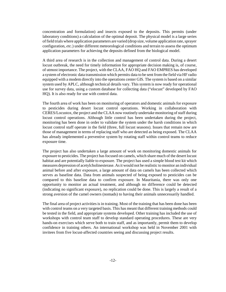concentration and formulation) and insects exposed to the deposits. This permits (under laboratory conditions) a calculation of the optimal deposit. The physical model is a large series of field trials where application parameters are varied (drop size, volume application rate, sprayer configuration, *etc.*) under different meteorological conditions and terrain to assess the optimum application parameters for achieving the deposits defined from the biological model.

A third area of research is in the collection and management of control data. During a desert locust outbreak, the need for timely information for appropriate decision making is, of course, of utmost importance. The project, with the CLAA, FAO HQ and FAO EMPRES has developed a system of electronic data transmission which permits data to be sent from the field via HF radio equipped with a modem directly into the operations center GIS. The system is based on a similar system used by APLC, although technical details vary. This system is now ready for operational use for survey data, using a custom database for collecting data ("elocust" developed by FAO HQ). It is also ready for use with control data.

The fourth area of work has been on monitoring of operators and domestic animals for exposure to pesticides during desert locust control operations. Working in collaboration with CERES/Locustox, the project and the CLAA now routinely undertake monitoring of staff during locust control operations. Although little control has been undertaken during the project, monitoring has been done in order to validate the system under the harsh conditions in which locust control staff operate in the field (three, full locust seasons). Issues that remain now are those of management in terms of replacing staff who are detected as being exposed. The CLAA has already implemented a preventive system by rotating staff within control teams to reduce exposure time.

The project has also undertaken a large amount of work on monitoring domestic animals for exposure to pesticides. The project has focused on camels, which share much of the desert locust habitat and are potentially liable to exposure. The project has used a simple blood test kit which measures depression of acetylcholinesterase. As it would not be realistic to monitor an individual animal before and after exposure, a large amount of data on camels has been collected which serves as baseline data. Data from animals suspected of being exposed to pesticides can be compared to this baseline data to confirm exposure. In Mauritania, there was only one opportunity to monitor an actual treatment, and although no difference could be detected (indicating no significant exposure), no replication could be done. This is largely a result of a strong aversion of the camel owners (nomads) to having their animals unnecessarily handled.

The final area of project activities is in training. Most of the training that has been done has been with control teams on a very targeted basis. This has meant that different training methods could be tested in the field, and appropriate systems developed. Other training has included the use of workshops with control team staff to develop standard operating procedures. These are very hands-on exercises which serve both to train staff, and as importantly, permit them to develop confidence in training others. An international workshop was held in November 2001 with invitees from five locust-affected countries seeing and discussing project results.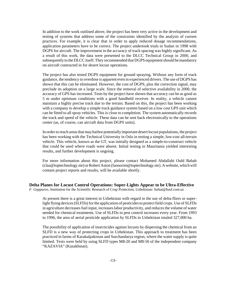In addition to the work outlined above, the project has been very active in the development and testing of systems that address some of the constraints identified by the analysis of current practices. For example, it is clear that in order to apply reduced dosage recommendations, application parameters have to be correct. The project undertook trials in Sudan in 1998 with DGPS for aircraft. The improvement in the accuracy of track spacing was highly significant. As a result of this work, the data were presented to the DLCC Technical Group in 2000, and subsequently to the DLCC itself. They recommended that DGPS equipment should be mandatory on aircraft contracted in for desert locust operations.

The project has also tested DGPS equipment for ground spraying. Without any form of track guidance, the tendency to overdose is apparent even in experienced drivers. The use of DGPS has shown that this can be eliminated. However, the cost of DGPS, plus the correction signal, may preclude its adoption on a large scale. Since the removal of selective availability in 2000, the accuracy of GPS has increased. Tests by the project have shown that accuracy can be as good as 5 m under optimum conditions with a good handheld receiver. In reality, a vehicle cannot maintain a highly precise track due to the terrain. Based on this, the project has been working with a company to develop a simple track guidance system based on a low cost GPS unit which can be fitted to all spray vehicles. This is close to completion. The system automatically records the track and speed of the vehicle. These data can be sent back electronically to the operations center (as, of course, can aircraft data from DGPS units).

In order to reach areas that may harbor potentially important desert locust populations, the project has been working with the Technical University in Oslo in testing a simple, low-cost all-terrain vehicle. This vehicle, known as the GT, was initially designed as a simple-to-construct vehicle that could be used where roads were absent. Initial testing in Mauritania yielded interesting results, and further development is ongoing.

For more information about this project, please contact Mohamed Abdallahi Ould Babah (claa@toptechnology.mr) or Robert Aston (faonorim@toptechnology.mr). A website, which will contain project reports and results, will be available shortly.

**Delta Planes for Locust Control Operations: Super-Lights Appear to be Ultra-Effective** *F. Gapparov*, Institution for the Scientific Research of Crop Protection, Uzbekistan: furkat@basf.com.uz

At present there is a great interest in Uzbekistan with regard to the use of delta-fliers or super-

light flying devices (SLFDs) for the application of pesticides to protect field crops. Use of SLFDs in agriculture decreases fuel input, increases labor productivity, and reduces the volume of water needed for chemical treatments. Use of SLFDs in pest control increases every year. From 1993 to 1996, the area of aerial pesticide application by SLFDs in Uzbekistan totaled 327,000 ha.

The possibility of application of insecticides against locusts by dispersing the chemical from an SLFD is a new way of protecting crops in Uzbekistan. This approach to treatment has been practiced in farms of Karakalpakistan and Surchandarya region, where the water supply is quite limited. Tests were held by using SLFD types M8-20 and M8-50 of the independent company "KAZAVIA" (Kazakhstan).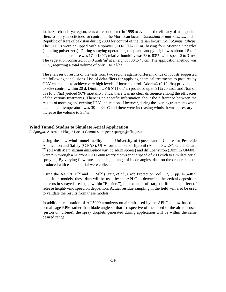In the Surchandarya region, tests were conducted in 1999 to evaluate the efficacy of using deltafliers to apply insecticides for control of the Moroccan locust, *Dociostaurus maroccanus*, and in Republic of Karakalpakistan during 2000 for control of the Italian locust, *Calliptamus italicus*. The SLFDs were equipped with a sprayer (AO-CJIA-7.0 m) having four Micronair nozzles (spinning pulverizers). During spraying operations, the plant canopy height was about 1.5 to 2 m; ambient temperature was 17 to 19 °C; relative humidity was 78 to 83%; wind speed 2 to 3 m/s. The vegetation consisted of 140 units/ $m<sup>2</sup>$  at a height of 30 to 40 cm. The application method was ULV, requiring a total volume of only 1 to 3 l/ha.

The analyses of results of the tests from two regions against different kinds of locusts suggested the following conclusions. Use of delta-fliers for applying chemical treatments to pastures by ULV enabled us to achieve very high levels of locust control. Adonis® (0.12 l/ha) provided up to 96% control within 20 d. Dimilin OF-6 ® (1.0 l/ha) provided up to 91% control, and Nomolt 5% (0.5 l/ha) yielded 96% mortality. Thus, there was no clear difference among the efficacies of the various treatments. There is no specific information about the difference between the results of morning and evening ULV applications. However, during the evening treatments when the ambient temperature was 30 to 34  $^{\circ}$ C and there were increasing winds, it was necessary to increase the volume to 3 l/ha.

#### **Wind Tunnel Studies to Simulate Aerial Application**

*P. Spurgin*, Australian Plague Locust Commission: peter.spurgin@affa.gov.au

Using the new wind tunnel facility at the University of Queensland's Centre for Pesticide Application and Safety (C-PAS), ULV formulations of fipronil (Adonis 3UL®), Green Guard  $T^{\overline{M}}$  (oil with *Metarhizium anisopliae var. acridum* spores) and diflubenzuron (Dimilin OF60<sup>®</sup>) were run through a Micronair AU5000 rotary atomizer at a speed of 200 km/h to simulate aerial spraying. By varying flow rates and using a range of blade angles, data on the droplet spectra produced with each material were collected.

Using the AgDRIFT<sup>TM</sup> and GDM<sup>TM</sup> (Craig *et al.*, Crop Protection Vol. 17, 6, pp. 475-482) deposition models, these data will be used by the APLC to determine theoretical deposition patterns in sprayed areas (eg. within "Barriers"), the extent of off-target drift and the effect of release height/wind speed on deposition. Actual residue sampling in the field will also be used to validate the results from these models.

In addition, calibration of AU5000 atomizers on aircraft used by the APLC is now based on actual cage RPM rather than blade angle so that irrespective of the speed of the aircraft used (piston or turbine), the spray droplets generated during application will be within the same desired range.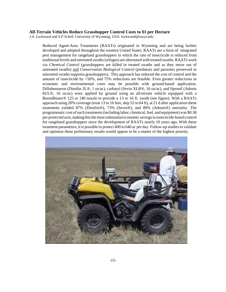#### **All-Terrain Vehicles Reduce Grasshopper Control Costs to \$1 per Hectare**

*J.A. Lockwood* and *S.P Schell*, University of Wyoming, USA: lockwood@uwyo.edu

Reduced Agent-Area Treatments (RAATs) originated in Wyoming and are being further developed and adopted throughout the western United States. RAATs are a form of integrated pest management for rangeland grasshoppers in which the rate of insecticide is reduced from traditional levels and untreated swaths (refuges) are alternated with treated swaths. RAATs work via *Chemical Control* (grasshoppers are killed in treated swaths and as they move out of untreated swaths) and *Conservation Biological Control* (predators and parasites preserved in untreated swaths suppress grasshoppers). This approach has reduced the cost of control and the amount of insecticide by >50%, and 75% reductions are feasible. Even greater reductions in economic and environmental costs may be possible with ground-based application. Diflubenzuron (Dimilin 2L®, 1 oz/ac), carbaryl (Sevin XLR®, 16 oz/ac), and fipronil (Adonis 6UL®, 16 oz/ac) were applied by ground using an all-terrain vehicle equipped with a BoomBuster® 125 or 140 nozzle to provide a 13 to 16 ft. swath (see figure). With a RAATs approach using 20% coverage (treat 13 to 16 feet, skip 52 to 64 ft), at 21 d after application these treatments yielded 87% (Dimilin®), 73% (Sevin®), and 89% (Adonis®) mortality. The programmatic cost of such treatments (including labor, chemical, fuel, and equipment) was \$0.38 per protected acre, making this the most substantial economic savings in insecticide-based control for rangeland grasshoppers since the development of RAATs nearly 10 years ago. With these treatment parameters, it is possible to protect 400 to 640 ac per day. Follow-up studies to validate and optimize these preliminary results would appear to be a matter of the highest priority.

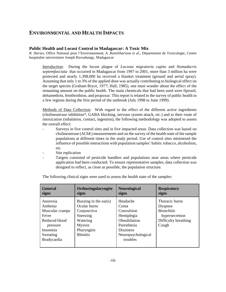# **ENVIRONMENTAL AND HEALTH IMPACTS**

#### **Public Health and Locust Control in Madagascar: A Toxic Mix**

*R. Harizo*, Office National pour l'Environnement; *A. Ramiliharisoa et al.*, Département de Toxicologie, Centre hospitalier universitaire Joseph Ravoahangy, Madagascar

Introduction: During the locust plague of *Locusta migratoria capito* and *Nomadacris septemfasciata* that occurred in Madagascar from 1997 to 2001, more than 3 million ha were protected and nearly 1,398,000 ha received a blanket treatment (ground and aerial spray). Assuming that only 1 to 3% of the applied dose was actually contributing to biological effect on the target species (Graham Bryce, 1977; Hall, 1985), one must wonder about the effect of the remaining amount on the public health. The main chemicals that had been used were fipronil, deltamethrin, fenithrothion, and propoxur. This report is related to the survey of public health in a few regions during the first period of the outbreak (July 1998 to June 1999).

Methods of Data Collection: With regard to the effect of the different active ingredients (cholinesterase inhibition\*, GABA blocking, nervous system attack, *etc.*) and to their route of intoxication (inhalation, contact, ingestion), the following methodology was adopted to assess the overall effect:

- Surveys in five control sites and in five impacted areas. Data collection was based on cholinesterase (AChE) measurements and on the survey of the health state of the sample populations at different times in the study period. Use of control sites minimized the influence of possible interactions with population samples' habits: tobacco, alcoholism, *etc.*
- Site replication
- Targets consisted of pesticide handlers and populations near areas where pesticide application had been conducted. To ensure representative samples, data collection was designed to reflect, as close as possible, the population structure.

| <b>General</b><br>signs                                                                                                     | Orthoringolaryngite<br>signs                                                                                             | <b>Neurological</b><br>signs                                                                                                      | <b>Respiratory</b><br>signs                                                                       |
|-----------------------------------------------------------------------------------------------------------------------------|--------------------------------------------------------------------------------------------------------------------------|-----------------------------------------------------------------------------------------------------------------------------------|---------------------------------------------------------------------------------------------------|
| Anorexia<br>Asthenia<br>Muscular cramps<br>Fever<br>Reduced blood<br>pressure<br>Insomnia<br>Sweating<br><b>Bradycardia</b> | Buzzing in the ear(s)<br>Ocular burns<br>Conjunctiva<br>Sneezing<br>Watering<br>Myosin<br>Pharyngitis<br><b>Rhinitis</b> | Headache<br>Coma<br>Convulsion<br>Hemiplegia<br>Obnubilation<br>Paresthesia<br><b>Dizziness</b><br>Neuropsychological<br>troubles | Thoracic burns<br>Dyspnea<br><b>Bronchitic</b><br>hypersecretion<br>Difficulty breathing<br>Cough |
|                                                                                                                             |                                                                                                                          |                                                                                                                                   |                                                                                                   |

The following clinical signs were used to assess the health state of the samples: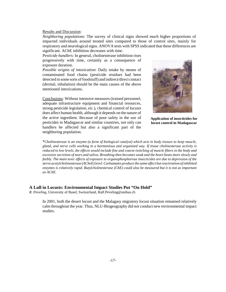#### Results and Discussion:

*Neighboring populations*: The survey of clinical signs showed much higher proportions of impacted individuals around treated sites compared to those of control sites, mainly for respiratory and neurological signs. ANOVA tests with SPSS indicated that these differences are significant. AChE inhibition decreases with time.

*Pesticide handlers*: In general, cholinesterase inhibition rises progressively with time, certainly as a consequence of exposure duration.

*Possible origins of intoxication*: Daily intake by means of contaminated food chains (pesticide residues had been detected in some sorts of foodstuff) and indirect/direct contact (dermal, inhalation) should be the main causes of the above mentioned intoxications.

Conclusions: Without intensive measures (trained personnel, adequate infrastructure equipment and financial resources, strong pesticide legislation, *etc.*), chemical control of locusts does affect human health, although it depends on the nature of the active ingredient. Because of poor safety in the use of pesticides in Madagascar and similar countries, not only can handlers be affected but also a significant part of the neighboring population.



**Application of insecticides for locust control in Madagascar**

\**Cholinesterase is an enzyme (a form of biological catalyst) which acts in body tissues to keep muscle, gland, and nerve cells working in a harmonious and organized way. If tissue cholinesterase activity is reduced to low levels, the effects would include fine and coarse twitching of muscle fibers in the body and excessive secretion of tears and saliva. Breathing then becomes weak and the heart beats more slowly and feebly. The main toxic effects of exposure to organophosphorous insecticides are due to depression of the nerve acetylcholinesterase (ACheE) level. Carbamates produce the same effect but reactivation of inhibited enzymes is relatively rapid. Butylcholinesterase (ChE) could also be measured but it is not as important as AChE.*

#### **A Lull in Locusts: Environmental Impact Studies Put "On Hold"**

*R. Peveling*, University of Basel, Switzerland, Ralf.Peveling@unibas.ch

In 2001, both the desert locust and the Malagasy migratory locust situation remained relatively calm throughout the year. Thus, NLU-Biogeography did not conduct new environmental impact studies.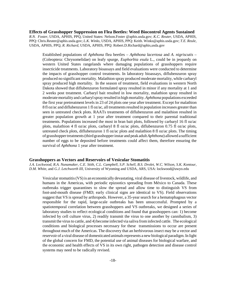#### **Effects of Grasshopper Suppression on Flea Beetles: Weed Biocontrol Agents Sustained**

*R.N. Foster*, USDA, APHIS, PPQ, United States: Nelson.Foster @aphis.usda.gov; *K.C. Reuter*, USDA, APHIS, PPQ: Chris.Reuter@aphis.usda.gov; *L.K. Winks*, USDA, APHIS, PPQ: Keith. Winks@aphis.usda.gov; *T.E. Reule*, USDA, APHIS, PPQ; *R. Richard,* USDA, APHIS, PPQ: Robert.D.Richard@aphis,usda.gov

Established populations of *Aphthona* flea beetles – *Aphthona lacertosa* and *A. nigriscutis –* (Coleoptera: Chrysomelidae) on leafy spurge, *Euphorbia esula* L., could be in jeopardy on western United States rangelands where damaging populations of grasshoppers require insecticide treatments. Laboratory bioassays and field evaluations were conducted to determine the impacts of grasshopper control treatments. In laboratory bioassays, diflubenzuron spray produced no significant mortality. Malathion spray produced moderate mortality, while carbaryl spray produced high mortality. In the season of treatment, field evaluations in western North Dakota showed that diflubenzuron formulated spray resulted in minor if any mortality at 1 and 2 weeks post treatment. Carbaryl bait resulted in low mortality, malathion spray resulted in moderate mortality and carbaryl spray resulted in high mortality*. Aphthona* populations exceeded the first year pretreatment levels in 23 of 24 plots one year after treatment. Except for malathion 8 fl oz/ac and diflubenzuron 1 fl oz/ac, all treatments resulted in population increases greater than seen in untreated check plots. RAATs treatments of diflubenzuron and malathion resulted in greater population growth at 1 year after treatment compared to their parental traditional treatments. Populations increased the most in bran bait plots, followed by carbaryl 16 fl oz/ac plots, malathion 4 fl oz/ac plots, carbaryl 8 fl oz/ac plots, diflubenzuron 0.75 fl oz/ac plots, untreated check plots, diflubenzuron 1 fl oz/ac plots and malathion 8 fl oz/ac plots. The timing of grasshopper treatments (third grasshopper instar and peak adult *Aphthona*) allowed a sufficient number of eggs to be deposited before treatments could affect them, therefore ensuring the survival of *Aphthona* 1 year after treatment.

#### **Grasshoppers as Vectors and Reservoirs of Vesicular Stomatitis**

*J.A. Lockwood, R.A. Nunamaker, C.E. Stith, C.L. Campbell, S.P. Schell, B.S. Drolet, W.C. Wilson, S.K. Kontour, D.M. White,* and *G.J. Letchworth III,* University of Wyoming and USDA, ARS, USA: lockwood@uwyo.edu

Vesicular stomatitis (VS) is an economically devastating, viral disease of livestock, wildlife, and humans in the Americas, with periodic epizootics spreading from México to Canada. These outbreaks trigger quarantines to slow the spread and allow time to distinguish VS from foot-and-mouth disease (FMD; early clinical signs are identical to VS). Field observations suggest that VS is spread by arthropods. However, a 35-year search for a hematophagous vector responsible for the rapid, large-scale outbreaks has been unsuccessful. Prompted by a spatiotemporal correlation between grasshoppers and VS outbreaks, we designed a series of laboratory studies to reflect ecological conditions and found that grasshoppers can: 1) become infected by cell culture virus, 2) readily transmit the virus to one another by cannibalism, 3) transmit the virus to cattle, and 4) become infected via saliva from infected cattle. The ecological conditions and biological processes necessary for these transmissions to occur are present throughout much of the Americas. The discovery that an herbivorous insect may be a vector and reservoir of a viral disease of domesticated animals represents a new biological paradigm. In light of the global concern for FMD, the potential use of animal diseases for biological warfare, and the economic and health effects of VS in its own right, pathogen detection and disease control systems may need to be radically revised.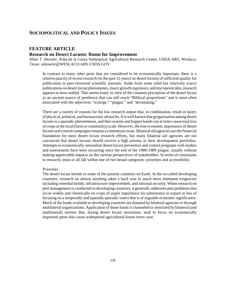# **SOCIOPOLITICAL AND POLICY ISSUES**

# **FEATURE ARTICLE**

## **Research on Desert Locusts: Room for Improvement**

*Allan T. Showler*, Kika de la Garza Subtropical Agricultural Research Center, USDA-ARS, Weslaco, Texas: ashowler@WESLACO.ARS.USDA.GOV

In contrast to many other pests that are considered to be economically important, there is a relative paucity of recent research (in the past 15 years) on desert locusts of sufficient quality for publication in peer-reviewed scientific journals. Aside from some solid but relatively scarce publications on desert locust pheromones, insect growth regulators, and mycopesticides, research appears to have stalled. This seems ironic in view of the common perception of the desert locust as an ancient source of pestilence that can still reach "Biblical proportions" and is most often associated with the adjectives "scourge," "plague," and "devastating."

There are a variety of reasons for the low research output that, in combination, result in layers of physical, political, and bureaucratic obstacles. It is well known that gregarization among desert locusts is a sporadic phenomenon, and that swarms and hopper bands can at times cause total loss of crops at the local (farm or community) scale. However, the true economic importance of desert locusts and control campaigns remains a contentious issue. Bilateral aid agencies are the financial foundation for most desert locust research efforts, but many bilateral aid agencies are not convinced that desert locusts should receive a high priority in their development portfolios. Attempts to economically rationalize desert locust prevention and control programs with studies and assessments have been occurring since the end of the 1986-1989 plague, usually without making appreciable impacts on the various perspectives of stakeholders. In terms of constraints to research, most or all fall within one of two broad categories: priorities and accessibility.

#### *Priorities*

The desert locust breeds in some of the poorest countries on Earth. In the so-called developing countries, research on almost anything takes a back seat to much more imminent exigencies including remedial health, infrastructure improvement, and national security. When research on pest management is conducted in developing countries, it generally addresses pest problems that occur widely and chronically on crops of staple importance for subsistence or export in lieu of focusing on a temporally and spatially sporadic insect that is of arguable economic significance. Much of the funds available to developing countries are donated by bilateral agencies or through multilateral organizations. Application of those funds is channeled or restricted by bilateral (and multilateral) entities that, during desert locust recessions, tend to focus on economically important pests that cause widespread agricultural losses every year.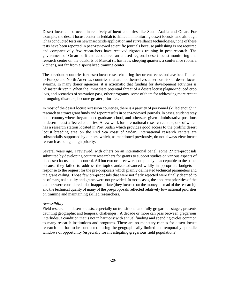Desert locusts also occur in relatively affluent countries like Saudi Arabia and Oman. For example, the desert locust center in Jeddah is skilled in monitoring desert locusts, and although it has conducted tests on new insecticide application and surveillance technologies, none of these tests have been reported in peer-reviewed scientific journals because publishing is not required and comparatively few researchers have received rigorous training in pest research. The government of Oman built and accoutered an unused regional desert locust monitoring and research center on the outskirts of Muscat (it has labs, sleeping quarters, a conference room, a kitchen), not far from a specialized training center.

The core donor countries for desert locust research during the current recession have been limited to Europe and North America, countries that are not themselves at serious risk of desert locust swarms. In many donor agencies, it is axiomatic that funding for development activities is "disaster driven." When the immediate potential threat of a desert locust plague-induced crop loss, and scenarios of starvation pass, other programs, some of them for addressing more recent or ongoing disasters, become greater priorities.

In most of the desert locust recession countries, there is a paucity of personnel skilled enough in research to attract grant funds and report results in peer-reviewed journals. In cases, students stay in the country where they attended graduate school, and others are given administrative positions in desert locust-affected countries. A few work for international research centers, one of which has a research station located in Port Sudan which provides good access to the prolific desert locust breeding area on the Red Sea coast of Sudan. International research centers are substantially supported by donors, which, as mentioned previously, do not always view locust research as being a high priority.

Several years ago, I reviewed, with others on an international panel, some 27 pre-proposals submitted by developing country researchers for grants to support studies on various aspects of the desert locust and its control. All but two or three were completely unacceptable to the panel because they failed to address the topics and/or advanced wildly inappropriate budgets in response to the request for the pre-proposals which plainly delineated technical parameters and the grant ceiling. Those few pre-proposals that were not flatly rejected were finally deemed to be of marginal quality and grants were not provided. In most cases, the apparent priorities of the authors were considered to be inappropriate (they focused on the money instead of the research), and the technical quality of many of the pre-proposals reflected relatively low national priorities on training and maintaining skilled researchers.

#### *Accessibility*

Field research on desert locusts, especially on transitional and fully gregarious stages, presents daunting geographic and temporal challenges. A decade or more can pass between gregarious interludes, a condition that is not in harmony with annual funding and spending cycles common to many research institutions and programs. There are no monetary caches for desert locust research that has to be conducted during the geographically limited and temporally sporadic windows of opportunity (especially for investigating gregarious field populations).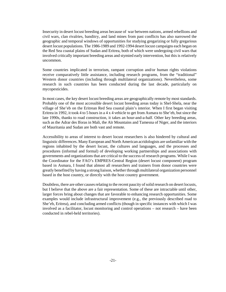Insecurity in desert locust breeding areas because of war between nations, armed rebellions and civil wars, clan rivalries, banditry, and land mines from past conflicts has also narrowed the geographic and temporal windows of opportunities for studying gregarizing or fully gregarious desert locust populations. The 1986-1989 and 1992-1994 desert locust campaigns each began on the Red Sea coastal plains of Sudan and Eritrea, both of which were undergoing civil wars that involved critically important breeding areas and stymied early intervention, but this is relatively uncommon.

Some countries implicated in terrorism, rampant corruption and/or human rights violations receive comparatively little assistance, including research programs, from the "traditional" Western donor countries (including through multilateral organizations). Nevertheless, some research in such countries has been conducted during the last decade, particularly on mycopesticides.

In most cases, the key desert locust breeding areas are geographically remote by most standards. Probably one of the most accessible desert locust breeding areas today is Shel-Shela, near the village of She'eb on the Eritrean Red Sea coastal plain's interior. When I first began visiting Eritrea in 1992, it took 4 to 5 hours in a 4 x 4 vehicle to get from Asmara to She'eb, but since the late 1990s, thanks to road construction, it takes an hour-and-a-half. Other key breeding areas, such as the Adrar des Iforas in Mali, the Aïr Mountains and Tamesna of Niger, and the interiors of Mauritania and Sudan are both vast and remote.

Accessibility to areas of interest to desert locust researchers is also hindered by cultural and linguistic differences. Many European and North American acridologists are unfamiliar with the regions inhabited by the desert locust, the cultures and languages, and the processes and procedures (informal and formal) of developing working partnerships and associations with governments and organizations that are critical to the success of research programs. While I was the Coordinator for the FAO's EMPRES-Central Region (desert locust component) program based in Asmara, I found that almost all researchers and trainers from donor countries were greatly benefited by having a strong liaison, whether through multilateral organization personnel based in the host country, or directly with the host country government.

Doubtless, there are other causes relating to the recent paucity of solid research on desert locusts, but I believe that the above are a fair representation. Some of these are intractable until other, larger forces bring about changes that are favorable to enhancing research opportunities. Some examples would include infrastructural improvement (e.g., the previously described road to She'eb, Eritrea), and concluding armed conflicts (though in specific instances with which I was involved as a facilitator, locust monitoring and control operations – not research – have been conducted in rebel-held territories).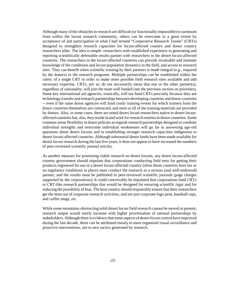Although many of the obstacles to research are difficult (or functionally impossible) to surmount from within the locust research community, others can be overcome to a great extent by acceptance of and participation in what I had termed "Cooperative Research Teams" (CRTs) designed to strengthen research capacities for locust-affected country and donor country researchers alike. The idea is simple: researchers with established experience in generating and reporting scientifically defensible results partner with researchers in the desert locust-affected countries. The researchers in the locust-affected countries can provide invaluable and intimate knowledge of the conditions and locust population dynamics in the field, and access to research sites. They can benefit when scientific training by their partners is made integral (e.g., required by the donors) to the research programs. Multiple partnerships can be established within the rubric of a single CRT in order to make more possible field research sites available and add necessary expertise. CRTs, *per se*, do not necessarily mean that one or the other partner(s), regardless of nationality, will join the team well funded (see the previous section on priorities). Some key international aid agencies, ironically, will not fund CRTs precisely *because* they are technology transfer and research partnerships between developing countries and donor countries -- even if the same donor agencies will fund costly training events for which trainers from the donor countries themselves are contracted, and most or all of the training materials are provided by donors. Also, in some cases, there are noted desert locust researchers native to desert locustaffected countries but, alas, they reside in and work for research entities in donor countries. Some common sense flexibility in donor policies as regards research partnerships designed to combine individual strengths and overcome individual weaknesses will go far in answering age-old questions about desert locusts and in establishing stronger research capacities indigenous to desert locust-affected countries. Although substantial donor funds have been made available for desert locust research during the last five years, it does not appear to have increased the numbers of peer-reviewed scientific journal articles.

As another measure for promoting viable research on desert locusts, any desert locust-affected country government should stipulate that corporations conducting field tests for getting their products registered for use in a desert locust-affected country (often those countries have lax or no regulatory conditions in place) must conduct the research as a serious (and well-endowed) partner, and the results must be published in peer-reviewed scientific journals (page charges supported by the corporations). It could conceivably be stipulated that corporations fund CRTs or CRT-like research partnerships that would be designed for ensuring scientific rigor and for reducing the possibility of bias. The host country should responsibly ensure that their researchers get the most out of corporate research activities, and not just corporate logo pens, baseball caps, and coffee mugs, *etc*.

While some mountains obstructing solid desert locust field research cannot be moved at present, research output would surely increase with higher prioritization of rational partnerships by stakeholders. Although there is evidence that some aspects of desert locust control have improved during the last decade, these can be attributed mostly to more organized visual surveillance and proactive interventions, not to new tactics generated by research.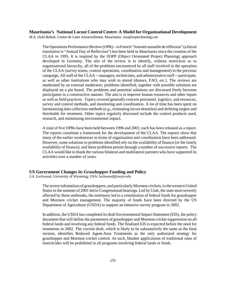#### **Mauritania's National Locust Control Centre: A Model for Organizational Development**

*M.A. Ould Babah*, Centre de Lutte Antiacridienne, Mauritania: claa@toptechnology.mr

The Operations Performance Review (OPR) – in French "Journée annuelle de réflexion" (a literal translation is "Annual Day of Reflection") has been held in Mauritania since the creation of the CLAA in 1995. It is inspired by the ZOPP (Object Orientated Project Planning) approach developed in Germany. The aim of the review is to identify, without restriction as to organizational hierarchy, all of the problems encountered by all staff involved in the operation of the CLAA (survey teams, control operations, coordination and management) in the previous campaign. All staff of the CLAA -- managers, technicians, and administrative staff -- participate, as well as other institutions who may wish to attend (donors, FAO, *etc*.). The reviews are moderated by an external moderator; problems identified, together with possible solutions are displayed on a pin board. The problems and potential solutions are discussed freely between participants in a constructive manner. The aim is to improve human resources and other inputs as well as field practices. Topics covered generally concern personnel, logistics, and resources, survey and control methods, and monitoring and coordination. A lot of time has been spent on harmonizing data collection methods (*e.g*., estimating locust densities) and defining targets and thresholds for treatment. Other topics regularly discussed include the control products used, research, and minimizing environmental impact.

A total of five OPRs have been held between 1996 and 2001; each has been released as a report. The reports constitute a framework for the development of the CLAA. The reports show that many of the earlier weaknesses in terms of organization and coordination have been addressed. However, some solutions to problems identified rely on the availability of finance (or the timely availability of finance), and these problems persist through a number of successive reports. The CLAA would like to thank the various bilateral and multilateral partners who have supported its activities over a number of years.

#### **US Government Changes its Grasshopper Funding and Policy**

*J.A. Lockwood*, University of Wyoming, USA: lockwood@uwyo.edu

The severe infestations of grasshoppers, and particularly Mormon crickets, in the western United States in the summer of 2001 led to Congressional hearings. Led by Utah, the state most severely affected by these outbreaks, the testimony led to a reinstitution of federal funds for grasshopper and Mormon cricket management. The majority of funds have been directed by the US Department of Agriculture (USDA) to support an intensive survey program in 2002.

In addition, the USDA has completed its draft Environmental Impact Statement (EIS), the policy document that will define the parameters of grasshopper and Mormon cricket suppression on all federal lands and involving any federal funds. The finalized EIS is expected before the need for treatments in 2002. The current draft, which is likely to be substantively the same as the final version, identifies Reduced Agent-Area Treatments as the only authorized strategy for grasshopper and Mormon cricket control. As such, blanket applications of traditional rates of insecticides will be prohibited in all programs involving federal lands or funds.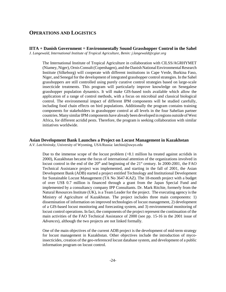# **OPERATIONS AND LOGISTICS**

**IITA + Danish Government = Environmentally Sound Grasshopper Control in the Sahel** *J. Langewald, International Institute of Tropical Agriculture, Benin: j.langewald@cgiar.org*

The International Institute of Tropical Agriculture in collaboration with CILSS/AGRHYMET (Niamey, Niger), Ornis Consult (Copenhagen), and the Danish National Environmental Research Institute (Silkeborg) will cooperate with different institutions in Cape Verde, Burkina Faso, Niger, and Senegal for the development of integrated grasshopper control strategies. In the Sahel grasshoppers are still controlled using purely curative control strategies based on large-scale insecticide treatments. This program will particularly improve knowledge on Senegalese grasshopper population dynamics. It will make GIS-based tools available which allow the application of a range of control methods, with a focus on microbial and classical biological control. The environmental impact of different IPM components will be studied carefully, including food chain effects on bird populations. Additionally the program contains training components for stakeholders in grasshopper control at all levels in the four Sahelian partner countries. Many similar IPM components have already been developed in regions outside of West Africa, for different acridid pests. Therefore, the program is seeking collaboration with similar initiatives worldwide.

# **Asian Development Bank Launches a Project on Locust Management in Kazakhstan**

*A.V. Latchininsky*, University of Wyoming, USA/Russia: latchini@uwyo.edu

Due to the immense scope of the locust problem (>8.1 million ha treated against acridids in 2000), Kazakhstan became the focus of international attention of the organizations involved in locust control in the end of the  $20<sup>th</sup>$  and beginning of the  $21<sup>st</sup>$  century. In 2000-2001, the FAO Technical Assistance project was implemented, and starting in the fall of 2001, the Asian Development Bank (ADB) started a project entitled Technology and Institutional Development for Sustainable Locust Management (TA No 3647-KAZ). The 18-month project with a budget of over US\$ 0.7 million is financed through a grant from the Japan Special Fund and implemented by a consultancy company IPP Consultants. Dr. Mark Ritchie, formerly from the Natural Resources Institute (UK), is a Team Leader for the project. The executing agency is the Ministry of Agriculture of Kazakhstan. The project includes three main components: 1) dissemination of information on improved technologies of locust management, 2) development of a GIS-based locust monitoring and forecasting system, and 3) environmental monitoring of locust control operations. In fact, the components of the project represent the continuation of the main activities of the FAO Technical Assistance of 2000 (see pp. 15-16 in the 2001 issue of *Advances*), although the two projects are not linked formally.

One of the main objectives of the current ADB project is the development of mid-term strategy for locust management in Kazakhstan. Other objectives include the introduction of mycoinsecticides, creation of the geo-referenced locust database system, and development of a public information program on locust control.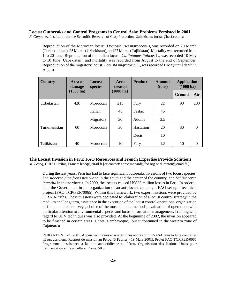#### **Locust Outbreaks and Control Programs in Central Asia: Problems Persisted in 2001**

*F. Gapparov*, Institution for the Scientific Research of Crop Protection, Uzbekistan: furkat@basf.com.uz

Reproduction of the Moroccan locust, *Dociostaurus maroccanus*, was recorded on 20 March (Turkmenistan), 25 March (Uzbekistan), and 27 March (Tajikistan). Mortality was recorded from 1 to 20 June. Reproduction of the Italian locust, *Calliptamus italicus* L., was recorded 10 May to 10 June (Uzbekistan), and mortality was recorded from August to the end of September. Reproduction of the migratory locust, *Locusta migratoria* L., was recorded 8 May until death in August.

| <b>Country</b> | Area of<br>damage   | Locust<br>species | <b>Product</b><br><b>Area</b><br>treated |           | <b>Amount</b><br>(tons) | <b>Application</b><br>$(1000 \text{ ha})$ |          |
|----------------|---------------------|-------------------|------------------------------------------|-----------|-------------------------|-------------------------------------------|----------|
|                | $(1000 \text{ ha})$ |                   | $(1000 \text{ ha})$                      |           |                         | <b>Ground</b>                             | Air      |
| Uzbekistan     | 420                 | Moroccan          | 215                                      | Fury      | 22                      | 90                                        | 200      |
|                |                     | Italian           | 45                                       | Fastac    | 45                      |                                           |          |
|                |                     | Migratory         | 30                                       | Adonis    | 3.5                     |                                           |          |
| Turkmenistan   | 60                  | Moroccan          | 30                                       | Hastation | 20                      | 30                                        | $\Omega$ |
|                |                     |                   |                                          | Decis     | 10                      |                                           |          |
| Tajikistan     | 40                  | Moroccan          | 10                                       | Fury      | 1.5                     | 10                                        | $\theta$ |

#### **The Locust Invasion in Peru: FAO Resources and French Expertise Provide Solutions**

*M. Lecoq*, CIRAD-Prifas, France: lecoq@cirad.fr [or contact: annie.monard@fao.org or duranton@cirad.fr.]

During the last years, Peru has had to face significant outbreaks/invasions of two locust species: *Schistocerca piceifrons peruviana* in the south and the center of the country, and *Schistocerca interrita* in the northwest. In 2000, the locusts caused US\$23 million losses in Peru. In order to help the Government in the organization of an anti-locust campaign, FAO set up a technical project (FAO TCP/PER/0065). Within this framework, two expert missions were provided by CIRAD-Prifas. These missions were dedicated to: elaboration of a locust control strategy in the medium and long term, assistance in the execution of the locust control operations, organization of field and aerial surveys, choice of the most suitable methods, evaluation of operations with particular attention to environmental aspects, and locust information management. Training with regard to ULV techniques was also provided. At the beginning of 2002, the invasion appeared to be finished in certain areas (Chota, Lambayeque), but it continued in the western zone of Cajamarca.

DURANTON J.-F., 2001. Appuis techniques et scientifiques auprès du SENASA pour la lutte contre les fléaux acridiens. Rapport de mission au Pérou (5 Février - 19 Mars 2001). Projet FAO TCP/PER/0065 Programme d'assistance à la lutte antiacridienne au Pérou. Organisation des Nations Unies pour l'alimentation et l'agriculture, Rome. 50 p.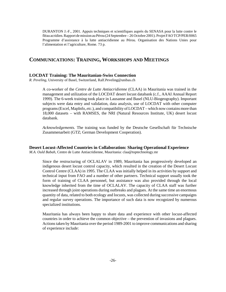DURANTON J.-F., 2001. Appuis techniques et scientifiques auprès du SENASA pour la lutte contre le fléau acridien. Rapport de mission au Pérou (24 Septembre – 26 Octobre 2001). Projet FAO TCP/PER/0065 Programme d'assistance à la lutte antiacridienne au Pérou. Organisation des Nations Unies pour l'alimentation et l'agriculture, Rome. 73 p.

# **COMMUNICATIONS: TRAINING, WORKSHOPS AND MEETINGS**

#### **LOCDAT Training: The Mauritanian-Swiss Connection**

*R. Peveling*, University of Basel, Switzerland, Ralf.Peveling@unibas.ch

A co-worker of the *Centre de Lutte Antiacridienne* (CLAA) in Mauritania was trained in the management and utilization of the LOCDAT desert locust databank (c.f., AAAI Annual Report 1999). The 6-week training took place in Lausanne and Basel (NLU-Biogeography). Important subjects were data entry and validation, data analysis, use of LOCDAT with other computer programs (Excel, MapInfo, *etc.*), and compatibility of LOCDAT – which now contains more than 18,000 datasets – with RAMSES, the NRI (Natural Resources Institute, UK) desert locust databank.

*Acknowledgements.* The training was funded by the Deutsche Gesellschaft für Technische Zusammenarbeit (GTZ; German Development Cooperation).

#### **Desert Locust-Affected Countries in Collaboration: Sharing Operational Experience**

*M.A. Ould Babah*, Centre de Lutte Antiacridienne, Mauritania: claa@toptechnology.mr

Since the restructuring of OCLALAV in 1989, Mauritania has progressively developed an indigenous desert locust control capacity, which resulted in the creation of the Desert Locust Control Centre (CLAA) in 1995. The CLAA was initially helped in its activities by support and technical input from FAO and a number of other partners. Technical support usually took the form of training of CLAA personnel, but assistance was also provided through the local knowledge inherited from the time of OCLALAV. The capacity of CLAA staff was further increased through joint operations during outbreaks and plagues. At the same time an enormous quantity of data, related to both ecology and locusts, was collected during successive campaigns and regular survey operations. The importance of such data is now recognized by numerous specialized institutions.

Mauritania has always been happy to share data and experience with other locust-affected countries in order to achieve the common objective – the prevention of invasions and plagues. Actions taken by Mauritania over the period 1989-2001 to improve communications and sharing of experience include: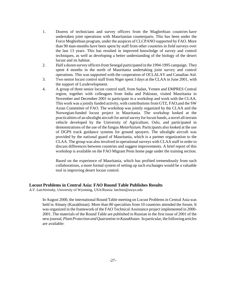- 1. Dozens of technicians and survey officers from the Maghrebian countries have undertaken joint operations with Mauritanian counterparts. This has been under the Force Meghrebian program, under the auspices of CLCPANO supported by FAO. More than 90 man-months have been spent by staff from other countries in field surveys over the last 13 years. This has resulted in improved knowledge of survey and control techniques, as well as developing a better understanding of the biology of the desert locust and its habitat.
- 2. Half a dozen survey officers from Senegal participated in the 1994-1995 campaign. They spent 4 months in the north of Mauritania undertaking joint survey and control operations. This was supported with the cooperation of OCLALAV and Canadian Aid.
- 3. Two senior locust control staff from Niger spent 3 days at the CLAA in June 2001, with the support of Luxdevelopment.
- 4. A group of three senior locust control staff, from Sudan, Yemen and EMPRES Central region, together with colleagues from India and Pakistan, visited Mauritania in November and December 2001 to participate in a workshop and work with the CLAA. This work was a jointly funded activity, with contributions from GTZ, FAO,and the SW Asian Committee of FAO. The workshop was jointly organized by the CLAA and the Norwegian-funded locust project in Mauritania. The workshop looked at the practicalities of an ultralight aircraft for aerial survey for locust bands, a novel all-terrain vehicle developed by the University of Agriculture, Oslo, and participated in demonstrations of the use of the fungus *Metarhizium*. Participants also looked at the use of DGPS track guidance systems for ground sprayers. The ultralight aircraft was provided by the national guard of Mauritania, which is a partner organization to the CLAA. The group was also involved in operational surveys with CLAA staff in order to discuss differences between countries and suggest improvements. A brief report of this workshop is available on the FAO Migrant Pests home page under the training section.

Based on the experience of Mauritania, which has profited tremendously from such collaborations, a more formal system of setting up such exchanges would be a valuable tool in improving desert locust control.

#### **Locust Problems in Central Asia: FAO Round Table Publishes Results**

*A.V. Latchininsky*, University of Wyoming, USA/Russia: latchini@uwyo.edu

In August 2000, the international Round Table meeting on Locust Problems in Central Asia was held in Almaty (Kazakhstan). More than 80 specialists from 10 countries attended the forum. It was organized in the framework of the FAO Technical Assistance project implemented in 2000- 2001. The materials of the Round Table are published in Russian in the first issue of 2001 of the new journal, *Plant Protection and Quarantine in Kazakhstan*. In particular, the following articles are available: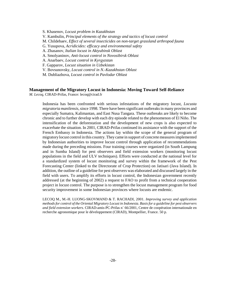S. Khasenov, *Locust problem in Kazakhstan* V. Kambulin, *Principal elements of the strategy and tactics of locust control* M. Childebaev, *Effect of several insecticides on non-target grassland arthropod fauna* G. Yusupova, *Acridicides: efficacy and environmental safety* A. Zhasanov, *Italian locust in Aktyubinsk Oblast* A. Smolyaninov, *Anti-locust control in Novosibirsk Oblast* A. Anarbaev, *Locust control in Kyrgyzstan* F. Gapparov, *Locust situation in Uzbekistan* V. Bovsunovsky, *Locust control in N.-Kazakhstan Oblast* M. Dubliazhova, *Locust control in Pavlodar Oblast*

## **Management of the Migratory Locust in Indonesia: Moving Toward Self-Reliance**

*M. Lecoq*, CIRAD-Prifas, France: lecoq@cirad.fr

Indonesia has been confronted with serious infestations of the migratory locust, *Locusta migratoria manilensis*, since 1998. There have been significant outbreaks in many provinces and especially Sumatra, Kalimantan, and East Nusa Tangara. These outbreaks are likely to become chronic and to further develop with each dry episode related to the phenomenon of El Niño. The intensification of the deforestation and the development of new crops is also expected to exacerbate the situation. In 2001, CIRAD-Prifas continued its assistance with the support of the French Embassy in Indonesia. The actions lay within the scope of the general program of migratory locust control in this country. They came in support of concrete measures implemented by Indonesian authorities to improve locust control through application of recommendations made during the preceding missions. Four training courses were organized (in South Lampung and in Sumba Island) for pest observers and field extension workers (monitoring locust populations in the field and ULV techniques). Efforts were conducted at the national level for a standardized system of locust monitoring and survey within the framework of the Pest Forecasting Center (linked to the Directorate of Crop Protection) on Jatisari (Java Island). In addition, the outline of a guideline for pest observers was elaborated and discussed largely in the field with users. To amplify its efforts in locust control, the Indonesian government recently addressed (at the beginning of 2002) a request to FAO to profit from a technical cooperation project in locust control. The purpose is to strengthen the locust management program for food security improvement in some Indonesian provinces where locusts are endemic.

LECOQ M., M.-H. LUONG-SKOVMAND & T. RACHADI, 2001. *Improving survey and application methods for control of the Oriental Migratory Locust in Indonesia. Basis for a guideline for pest observers and field extension workers.* CIRAD-amis-PC-Prifas n/ 66/2001, Centre de coopération internationale en recherche agronomique pour le développement (CIRAD), Montpellier, France. 50 p.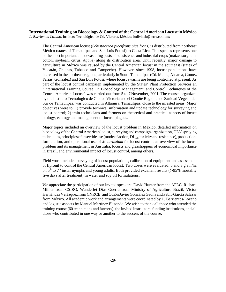#### **International Training on Bioecology & Control of the Central American Locust in México** *L. Barrientos-Lozano.* Instituto Tecnológico de Cd. Victoria. México: ludivinab@terra.com.mx

The Central American locust (*Schistocerca piceifrons piceifrons*) is distributed from northeast México (states of Tamaulipas and San Luis Potosí) to Costa Rica. This species represents one of the most important and devastating pests of subsistence and industrial crops (maize, sorghum, cotton, soybean, citrus, *Agave*) along its distribution area. Until recently, major damage to agriculture in México was caused by the Central American locust in the southeast (states of Yucatán, Chiapas, Tabasco and Campeche). However, since 1998, locust populations have increased in the northeast region, particularly in South Tamaulipas (Cd. Mante, Aldama, Gómez Farías, González) and San Luis Potosí, where locust swarms are being controlled at present. As part of the locust control campaign implemented by the States' Plant Protection Services an "International Training Course On Bioecology, Management, and Control Techniques of the Central American Locust" was carried out from 5 to 7 November, 2001. The course, organized by the Instituto Tecnológico de Ciudad Victoria and el Comité Regional de Sanidad Vegetal del Sur de Tamaulipas, was conducted in Altamira, Tamaulipas, close to the infested areas. Major objectives were to: 1) provide technical information and update technology for surveying and locust control; 2) train technicians and farmers on theoretical and practical aspects of locust biology, ecology and management of locust plagues.

Major topics included an overview of the locust problem in México, detailed information on bioecology of the Central American locust, surveying and campaign organization, ULV spraying techniques, principles of insectide use (mode of action,  $DL_{50}$ , toxicity and resistance), production, formulation, and operational use of *Metarhizium* for locust control, an overview of the locust problem and its management in Australia, locusts and grasshoppers of economical importance in Brazil, and environmental impact of locust control, among others.

Field work included surveying of locust populations, calibration of equipment and assessment of fipronil to control the Central American locust. Two doses were evaluated: 5 and 3 g.a.i./ha on  $5<sup>th</sup>$  to  $7<sup>th</sup>$  instar nymphs and young adults. Both provided excellent results (> 95% mortality five days after treatment) in water and soy oil formulations.

We appreciate the participation of our invited speakers: David Hunter from the APLC, Richard Milner from CSIRO, Wanderlei Dias Guerra from Ministry of Agriculture Brazil, Víctor Hernández Velázquez from CNRCB, and Othón Javier González Gaona and Pablo García Salazar from México. All academic work and arrangements were coordinated by L. Barrientos-Lozano and logistic aspects by Manuel Martínez Elizondo. We wish to thank all those who attended the training course (60 technicians and farmers), the invited instructors, funding institutions, and all those who contributed in one way or another to the success of the course.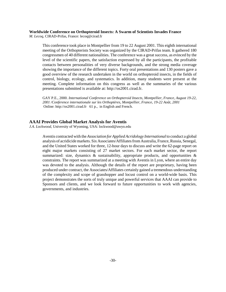#### **Worldwide Conference on Orthopteroid Insects: A Swarm of Scientists Invades France**

*M. Lecoq*, CIRAD-Prifas, France: lecoq@cirad.fr

This conference took place in Montpellier from 19 to 22 August 2001. This eighth international meeting of the Orthopterists Society was organized by the CIRAD-Prifas team. It gathered 180 congressmen of 40 different nationalities. The conference was a great success, as evinced by the level of the scientific papers, the satisfaction expressed by all the participants, the profitable contacts between personalities of very diverse backgrounds, and the strong media coverage showing the importance of the different topics. Forty oral presentations and 130 posters gave a good overview of the research undertaken in the world on orthopteroid insects, in the fields of control, biology, ecology, and systematics. In addition, many students were present at the meeting. Complete information on this congress as well as the summaries of the various presentations submitted is available at: http://os2001.cirad.fr.

GAY P.E., 2000. *International Conference on Orthopteroid Insects, Montpellier, France, August 19-22, 2001 /Conference internationale sur les Orthoptères, Montpellier, France, 19-22 Août, 2001*  Online: http://os2001.cirad.fr 61 p., in English and French.

#### **AAAI Provides Global Market Analysis for Aventis**

*J.A. Lockwood*, University of Wyoming, USA: lockwood@uwyo.edu

Aventis contracted with the *Association for Applied Acridology International* to conduct a global analysis of acridicide markets. Six Associates/Affiliates from Australia, France, Russia, Senegal, and the United States worked for three, 12-hour days to discuss and write the 62-page report on eight major markets consisting of 27 market sectors. For each market sector, the report summarized: size, dynamics  $\&$  sustainability, appropriate products, and opportunities  $\&$ constraints. The report was summarized at a meeting with Aventis in Lyon, where an entire day was devoted to the analysis. Although the details of the report are proprietary, having been produced under contract, the Associates/Affiliates certainly gained a tremendous understanding of the complexity and scope of grasshopper and locust control on a world-wide basis. This project demonstrates the sorts of truly unique and powerful services that AAAI can provide to Sponsors and clients, and we look forward to future opportunities to work with agencies, governments, and industries.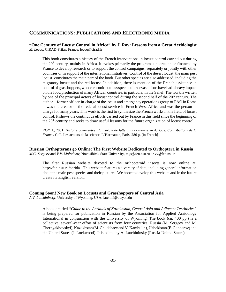# **COMMUNICATIONS: PUBLICATIONS AND ELECTRONIC MEDIA**

#### **"One Century of Locust Control in Africa" by J. Roy: Lessons from a Great Acridologist** *M. Lecoq*, CIRAD-Prifas, France: lecoq@cirad.fr

This book constitutes a history of the French interventions in locust control carried out during the  $20<sup>th</sup>$  century, mainly in Africa. It evokes primarily the programs undertaken or financed by France to develop research or to support the control campaigns, separately or jointly with other countries or in support of the international initiatives. Control of the desert locust, the main pest locust, constitutes the main part of the book. But other species are also addressed, including the migratory locust and the red locust. In addition, there is mention of the French assistance in control of grasshoppers, whose chronic but less spectacular devastations have had a heavy impact on the food production of many African countries, in particular in the Sahel. The work is written by one of the principal actors of locust control during the second half of the  $20<sup>th</sup>$  century. The author -- former officer-in-charge of the locust and emergency operations group of FAO in Rome -- was the creator of the federal locust service in French West Africa and was the person in charge for many years. This work is the first to synthesize the French works in the field of locust control. It shows the continuous efforts carried out by France in this field since the beginning of the  $20<sup>th</sup>$  century and seeks to draw useful lessons for the future organization of locust control.

ROY J., 2001. *Histoire commentée d'un siècle de lutte antiacridienne en Afrique. Contributions de la France.* Coll. Les acteurs de la science, L'Harmattan, Paris. 286 p. [in French]

#### **Russian Orthopterans go Online: The First Website Dedicated to Orthoptera in Russia**

*M.G. Sergeev* and *V.V. Molodtsov*, Novosibirsk State University, mgs@fen.nsu.ru or vv@fen.nsu.ru

The first Russian website devoted to the orthopteroid insects is now online at: http://fen.nsu.ru/acrida This website features a diversity of data, including general information about the main pest species and their pictures. We hope to develop this website and in the future create its English version.

#### **Coming Soon! New Book on Locusts and Grasshoppers of Central Asia**

*A.V. Latchininsky*, University of Wyoming, USA: latchini@uwyo.edu

A book entitled *"Guide to the Acridids of Kazakhstan, Central Asia and Adjacent Territories"* is being prepared for publication in Russian by the Association for Applied Acridology International in conjunction with the University of Wyoming. The book (*ca*. 400 pp.) is a collective, several-year effort of scientists from four countries: Russia (M. Sergeev and M. Chernyakhovskyi), Kazakhstan (M. Childebaev and V. Kambulin), Uzbekistan (F. Gapparov) and the United States (J. Lockwood). It is edited by A. Latchininsky (Russia-United States).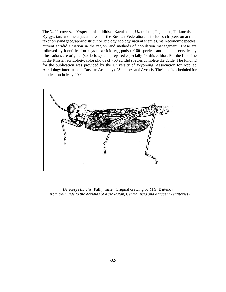The *Guide* covers >400 species of acridids of Kazakhstan, Uzbekistan, Tajikistan, Turkmenistan, Kyrgyzstan, and the adjacent areas of the Russian Federation. It includes chapters on acridid taxonomy and geographic distribution, biology, ecology, natural enemies, main economic species, current acridid situation in the region, and methods of population management. These are followed by identification keys to acridid egg-pods (>100 species) and adult insects. Many illustrations are original (see below), and prepared especially for this edition. For the first time in the Russian acridology, color photos of >50 acridid species complete the guide. The funding for the publication was provided by the University of Wyoming, Association for Applied Acridology International, Russian Academy of Sciences, and Aventis. The book is scheduled for publication in May 2002.



 *Dericorys tibialis* (Pall.), male. Original drawing by M.S. Baitenov (from the *Guide to the Acridids of Kazakhstan, Central Asia and Adjacent Territories*)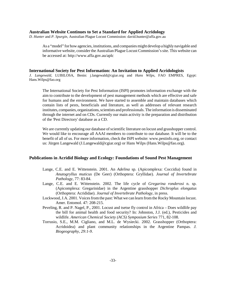#### **Australian Website Continues to Set a Standard for Applied Acridology**

*D. Hunter* and *P. Spurgin,* Australian Plague Locust Commission: david.hunter@affa.gov.au

As a "model" for how agencies, institutions, and companies might develop a highly navigable and informative website, consider the Australian Plague Locust Commission's site. This website can be accessed at: http://www.affa.gov.au/aplc

#### **International Society for Pest Information: An Invitation to Applied Acridologists**

*J. Langewald*, LUBILOSA, Benin: j.langewald@cgiar.org and *Hans Wilps*, FAO EMPRES, Egypt: Hans.Wilps@fao.org

The International Society for Pest Information (ISPI) promotes information exchange with the aim to contribute to the development of pest management methods which are effective and safe for humans and the environment. We have started to assemble and maintain databases which contain lists of pests, beneficials and literature, as well as addresses of relevant research institutes, companies, organizations, scientists and professionals. The information is disseminated through the internet and on CDs. Currently our main activity is the preparation and distribution of the 'Pest Directory' database as a CD.

We are currently updating our database of scientific literature on locust and grasshopper control. We would like to encourage all AAAI members to contribute to our database. It will be to the benefit of all of us. For more information, check the ISPI website: www.pestinfo.org, or contact us: Jürgen Langewald (J.Langewald@cgiar.org) or Hans Wilps (Hans.Wilps@fao.org).

#### **Publications in Acridid Biology and Ecology: Foundations of Sound Pest Management**

- Lange, C.E. and E. Wittenstein. 2001. An *Adelina* sp. (Apicomplexa: Coccidia) found in *Anutogryllus muticus* (De Geer) (Orthoptera: Gryllidae). *Journal of Invertebrate Pathology,* 77: 83-84.
- Lange, C.E. and E. Wittenstein. 2002. The life cycle of *Gregarina ronderosi* n. sp. (Apicomplexa: Gregarinidae) in the Argentine grasshopper *Dichroplus elongatus* (Orthoptera: Acrididae). *Journal of Invertebrate Pathology*, in press.
- Lockwood, J.A. 2001. Voices from the past: What we can learn from the Rocky Mountain locust. Amer. Entomol. 47: 208-215.
- Peveling, R. and P. Nagel, P., 2001. Locust and tsetse fly control in Africa Does wildlife pay the bill for animal health and food security? In: Johnston, J.J. (ed.), Pesticides and wildlife. *American Chemical Society (ACS) Symposium Series* 771, 82-108.
- Torrusio, S.E., M.M. Cigliano, and M.L. de Wysiecki. 2002. Grasshopper (Orthoptera: Acridoidea) and plant community relationships in the Argentine Pampas. *J. Biogeography, 29:1-9*.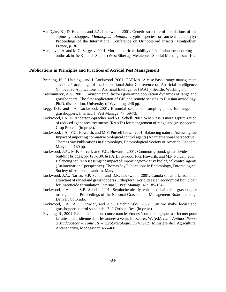- VanDyke, K., D. Kazmer, and J.A. Lockwood. 2001. Genetic structure of populations of the alpine grasshopper, *Melanoplus alpinus*: cryptic species or ancient paraphyly? Proceedings of the International Conference on Orthopteroid Insects, Montpellier, France, p. 36.
- Vanjkova I.A. and M.G. Sergeev. 2001. Morphometric variability of the Italian locust during an outbreak in the Kulunda Steppe (West Siberia). Metaleptea. Special Meeting Issue: 102.

#### **Publications in Principles and Practices of Acridid Pest Management**

- Branting, K. J. Hastings, and J. Lockwood. 2001. CARMA: A case-based range management advisor. Proceedings of the International Joint Conference on Artificial Intelligence (Innovative Applications of Artificial Intelligence [IAAI]), Seattle, Washington.
- Latchininsky, A.V. 2001. Environmental factors governing population dynamics of rangeland grasshoppers: The first application of GIS and remote sensing to Russian acridology. Ph.D. dissertation, University of Wyoming, 246 pp.
- Legg, D.E. and J.A. Lockwood. 2001. Binomial sequential sampling plans for rangeland grasshoppers. Internat. J. Pest Manage. 47: 69-73.
- Lockwood, J.A., R. Anderson-Sprecher, and S.P. Schell. 2002. When less is more: Optimization of reduced agent-area treatments (RAATs) for management of rangeland grasshoppers. Crop Protect. (in press).
- Lockwood, J.A., F.G. Howarth, and M.F. Purcell [eds.]. 2001. Balancing nature: Assessing the Impact of importing non-native biological control agents (An international perspective). Thomas Say Publications in Entomology, Entomological Society of America, Lanham, Maryland, 130 pp.
- Lockwood, J.A., M.F. Purcell, and F.G. Howarth. 2001. Common ground, great divides, and building bridges, pp. 120-130. In J.A. Lockwood, F.G. Howarth, and M.F. Purcell [eds.], Balancing nature: Assessing the impact of importing non-native biological control agents (An international perspective). Thomas Say Publications in Entomology, Entomological Society of America, Lanham, Maryland.
- Lockwood, J.A., Narisu, S.P. Schell, and D.R. Lockwood. 2001. Canola oil as a kairomonal attractant of rangeland grasshoppers (Orthoptera: Acrididae): an economical liquid bait for insecticide formulation. Internat. J. Pest Manage. 47: 185-194.
- Lockwood, J.A. and S.P. Schell. 2001. Semiochemically enhanced baits for grasshopper management. Proceedings of the National Grasshopper Management Board meeting, Denver, Colorado.
- Lockwood, J.A., A.T. Showler, and A.V. Latchininsky. 2002. Can we make locust and grasshopper control sustainable? J. Orthop. Res. (in press).
- Peveling, R., 2001. Recommandations concernant les études écotoxicologiques à effectuer pour la lutte antiacridienne dans les années à venir. In: Zehrer, W. (ed.), *Lutte Antiacridienne à Madagascar – Tome III – Ecotoxicologie.* DPV/GTZ, Ministère de l'Agriculture, Antananarivo, Madagascar, 465-488.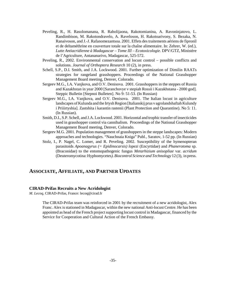- Peveling, R., H. Rasolomanana, R. Raholijaona, Rakotomianina, A. Ravoninjatovo, L. Randimbison, M. Rakotondravelo, A. Raveloson, H. Rakotoarivony, S. Bezaka, N. Ranaivoson, and J.-J. Rafanomezantsoa. 2001. Effets des traitements aériens de fipronil et de deltaméthrine en couverture totale sur la chaîne alimentaire. In: Zehrer, W. (ed.), *Lutte Antiacridienne à Madagascar – Tome III – Ecotoxicologie.* DPV/GTZ, Ministère de l'Agriculture, Antananarivo, Madagascar, 525-572.
- Peveling, R., 2002. Environmental conservation and locust control possible conflicts and solutions. *Journal of Orthoptera Research* 10 (2), in press.
- Schell, S.P., D.I. Smith, and J.A. Lockwood. 2001. Further optimization of Dimilin RAATs strategies for rangeland grasshoppers. Proceedings of the National Grasshopper Management Board meeting, Denver, Colorado.
- Sergeev M.G., I.A. Vanjkova, and O.V. Denisova. 2001. Grasshoppers in the steppes of Russia and Kazakhstan in year 2000 [Saranchovye v stepiah Rossii i Kazakhstana - 2000 god]. Steppic Bulletin [Stepnoi Bulleten]. No 9: 51-53. (In Russian)
- Sergeev M.G., I.A. Vanjkova, and O.V. Denisova. 2001. The Italian locust in agriculture landscapes of Kulunda and the Irtysh Region [Italianskij prus v agrolandshaftah Kulundy i Priiirtyshia]. Zastshita i karantin rastenii (Plant Protection and Quarantine). No 5: 11. (In Russian).
- Smith, D.I., S.P. Schell, and J.A. Lockwood. 2001. Horizontal and trophic transfer of insecticides used in grasshopper control via cannibalism. Proceedings of the National Grasshopper Management Board meeting, Denver, Colorado.
- Sergeev M.G. 2001. Population management of grasshoppers in the steppe landscapes: Modern approaches and technologies. "Nauchnaia Kniga" Publ., Saratov, 1-52 pp. (In Russian)
- Stolz, I., P. Nagel, C. Lomer, and R. Peveling. 2002. Susceptibility of the hymenopteran parasitoids *Apoanagyrus (= Epidinocarsis) lopezi* (Encyrtidae) and *Phanerotoma* sp. (Braconidae) to the entomopathogenic fungus *Metarhizium anisopliae* var. *acridum* (Deuteromycotina: Hyphomycetes*). Biocontrol Science and Technology* 12 (3), in press.

# **ASSOCIATE, AFFILIATE, AND PARTNER UPDATES**

#### **CIRAD-Prifas Recruits a New Acridologist**

*M. Lecoq*, CIRAD-Prifas, France: lecoq@cirad.fr

The CIRAD-Prifas team was reinforced in 2001 by the recruitment of a new acridologist, Alex Franc. Alex is stationed in Madagascar, within the new national Anti-locust Centre. He has been appointed as head of the French project supporting locust control in Madagascar, financed by the Service for Cooperation and Cultural Action of the French Embassy.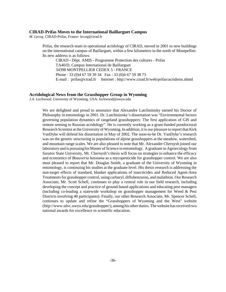#### **CIRAD-Prifas Moves to the International Baillarguet Campus**

*M. Lecoq*, CIRAD-Prifas, France: lecoq@cirad.fr

Prifas, the research team in operational acridology of CIRAD, moved in 2001 to new buildings on the international campus of Baillarguet, within a few kilometers in the north of Montpellier. Its new address is as follows:

CIRAD - Dépt. AMIS - Programme Protection des cultures - Prifas TA40/D, Campus International de Baillarguet 34398 MONTPELLIER CEDEX 5 - FRANCE Phone : 33 (0)4 67 59 39 34 Fax : 33 (0)4 67 59 38 73 E-mail : prifas@cirad.fr Internet : http://www.cirad.fr/web/prifas/acridiens.shtml

#### **Acridological News from the Grasshopper Group in Wyoming**

*J.A. Lockwood*, University of Wyoming, USA: lockwood@uwyo.edu

We are delighted and proud to announce that Alexandre Latchininsky earned his Doctor of Philosophy in entomology in 2001. Dr. Latchininsky's dissertation was "Environmental factors governing population dynamics of rangeland grasshoppers: The first application of GIS and remote sensing to Russian acridology". He is currently working as a grant-funded postdoctoral Research Scientist at the University of Wyoming. In addition, it is our pleasure to report that Kirk VanDyke will defend his dissertation in May of 2002. The soon-to-be Dr. VanDyke's research was on the genetic structuring in populations of alpine grasshoppers at the meadow, watershed, and mountain range scales. We are also pleased to note that Mr. Alexander Chernysh joined our laboratory and is pursuing his Master of Science in entomology. A graduate in Agroecology from Saratov State University, Mr. Chernysh's thesis will focus on strategies to enhance the efficacy and economics of *Beauveria bassiana* as a mycopesticide for grasshopper control. We are also most pleased to report that Mr. Douglas Smith, a graduate of the University of Wyoming in entomology, is continuing his studies at the graduate level. His thesis research is addressing the non-target effects of standard, blanket applications of insecticides and Reduced Agent-Area Treatments for grasshopper control, using carbaryl, diflubenzuron, and malathion. Our Research Associate, Mr. Scott Schell, continues to play a central role in our field research, including developing the concept and practice of ground-based applications and educating pest managers (including co-leading a statewide workshop on grasshopper management for Weed & Pest Districts involving 40 participants). Finally, our other Research Associate, Mr. Spencer Schell, continues to update and refine the "Grasshoppers of Wyoming and the West" website (http://www.sdvc.uwyo.edu/grasshopper/), among his other duties. The website has received two national awards for excellence in scientific education.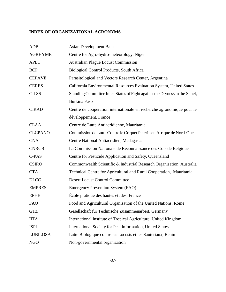# **INDEX OF ORGANIZATIONAL ACRONYMS**

| <b>ADB</b>      | <b>Asian Development Bank</b>                                              |
|-----------------|----------------------------------------------------------------------------|
| <b>AGRHYMET</b> | Centre for Agro-hydro-meteorology, Niger                                   |
| <b>APLC</b>     | <b>Australian Plague Locust Commission</b>                                 |
| <b>BCP</b>      | Biological Control Products, South Africa                                  |
| <b>CEPAVE</b>   | Parasitological and Vectors Research Center, Argentina                     |
| <b>CERES</b>    | California Environmental Resources Evaluation System, United States        |
| <b>CILSS</b>    | Standing Committee Inter-States of Fight against the Dryness in the Sahel, |
|                 | <b>Burkina Faso</b>                                                        |
| <b>CIRAD</b>    | Centre de coopération internationale en recherche agronomique pour le      |
|                 | développement, France                                                      |
| <b>CLAA</b>     | Centre de Lutte Antiacridienne, Mauritania                                 |
| <b>CLCPANO</b>  | Commission de Lutte Contre le Criquet Pelerin en Afrique de Nord-Ouest     |
| <b>CNA</b>      | Centre National Antiacridien, Madagascar                                   |
| <b>CNRCB</b>    | La Commission Nationale de Reconnaissance des Cols de Belgique             |
| C-PAS           | Centre for Pesticide Application and Safety, Queensland                    |
| <b>CSIRO</b>    | Commonwealth Scientific & Industrial Research Organisation, Australia      |
| <b>CTA</b>      | Technical Centre for Agricultural and Rural Cooperation, Mauritania        |
| <b>DLCC</b>     | <b>Desert Locust Control Committee</b>                                     |
| <b>EMPRES</b>   | <b>Emergency Prevention System (FAO)</b>                                   |
| <b>EPHE</b>     | École pratique des hautes études, France                                   |
| <b>FAO</b>      | Food and Agricultural Organisation of the United Nations, Rome             |
| <b>GTZ</b>      | Gesellschaft für Technische Zusammenarbeit, Germany                        |
| <b>IITA</b>     | International Institute of Tropical Agriculture, United Kingdom            |
| <b>ISPI</b>     | International Society for Pest Information, United States                  |
| <b>LUBILOSA</b> | Lutte Biologique contre les Locusts et les Sauteriaux, Benin               |
| <b>NGO</b>      | Non-governmental organization                                              |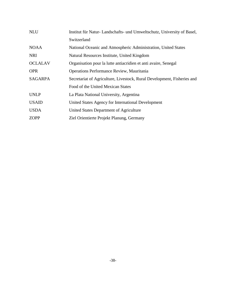| <b>NLU</b>     | Institut für Natur-Landschafts- und Umweltschutz, University of Basel,  |  |  |
|----------------|-------------------------------------------------------------------------|--|--|
|                | Switzerland                                                             |  |  |
| <b>NOAA</b>    | National Oceanic and Atmospheric Administration, United States          |  |  |
| <b>NRI</b>     | Natural Resources Institute, United Kingdom                             |  |  |
| <b>OCLALAV</b> | Organisation pour la lutte antiacridien et anti avaire, Senegal         |  |  |
| <b>OPR</b>     | Operations Performance Review, Mauritania                               |  |  |
| <b>SAGARPA</b> | Secretariat of Agriculture, Livestock, Rural Development, Fisheries and |  |  |
|                | Food of the United Mexican States                                       |  |  |
| <b>UNLP</b>    | La Plata National University, Argentina                                 |  |  |
| <b>USAID</b>   | United States Agency for International Development                      |  |  |
| <b>USDA</b>    | United States Department of Agriculture                                 |  |  |
| <b>ZOPP</b>    | Ziel Orientierte Projekt Planung, Germany                               |  |  |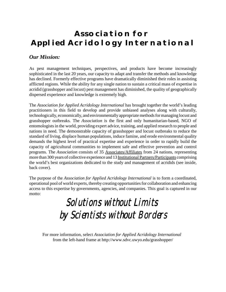# **Association for Applied Acridology International**

# *Our Mission:*

As pest management techniques, perspectives, and products have become increasingly sophisticated in the last 20 years, our capacity to adapt and transfer the methods and knowledge has declined. Formerly effective programs have dramatically diminished their roles in assisting afflicted regions. While the ability for any single nation to sustain a critical mass of expertise in acridid (grasshopper and locust) pest management has diminished, the quality of geographically dispersed experience and knowledge is extremely high.

The *Association for Applied Acridology International* has brought together the world's leading practitioners in this field to develop and provide unbiased analyses along with culturally, technologically, economically, and environmentally appropriate methods for managing locust and grasshopper outbreaks. The *Association* is the first and only humanitarian-based, NGO of entomologists in the world, providing expert advice, training, and applied research to people and nations in need. The demonstrable capacity of grasshopper and locust outbreaks to reduce the standard of living, displace human populations, induce famine, and erode environmental quality demands the highest level of practical expertise and experience in order to rapidly build the capacity of agricultural communities to implement safe and effective prevention and control programs. The *Association* consists of 35 Associates/Affiliates from 24 nations, representing more than 300 years of collective experience and 13 Institutional Partners/Participants comprising the world's best organizations dedicated to the study and management of acridids (see inside, back cover).

The purpose of the *Association for Applied Acridology International* is to form a coordinated, operational pool of world experts, thereby creating opportunities for collaboration and enhancing access to this expertise by governments, agencies, and companies. This goal is captured in our motto:

# Solutions without Limits Solutions without Limits by Scientists without Borders

For more information, select *Association for Applied Acridology International*  from the left-hand frame at http://www.sdvc.uwyo.edu/grasshopper/